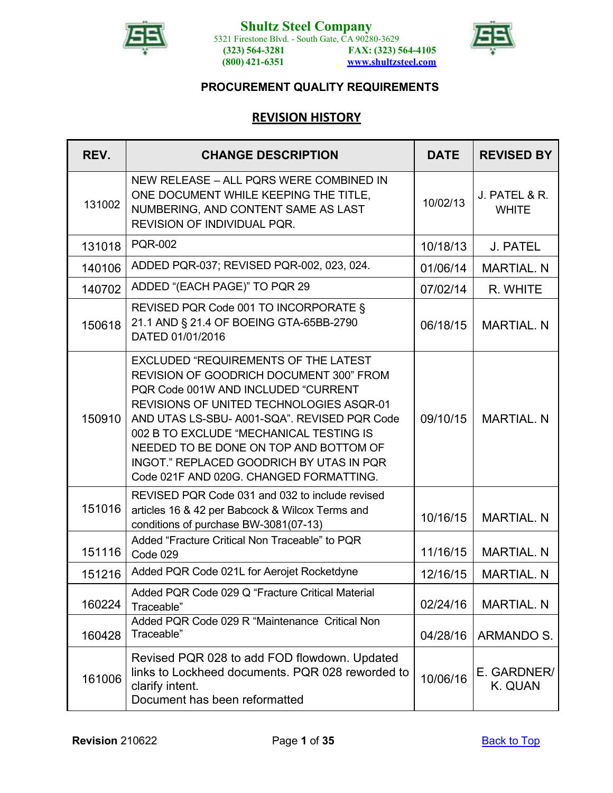



# **REVISION HISTORY**

<span id="page-0-1"></span><span id="page-0-0"></span>

| REV.   | <b>CHANGE DESCRIPTION</b>                                                                                                                                                                                                                                                                                                                                                                              | <b>DATE</b> | <b>REVISED BY</b>             |
|--------|--------------------------------------------------------------------------------------------------------------------------------------------------------------------------------------------------------------------------------------------------------------------------------------------------------------------------------------------------------------------------------------------------------|-------------|-------------------------------|
| 131002 | NEW RELEASE - ALL PQRS WERE COMBINED IN<br>ONE DOCUMENT WHILE KEEPING THE TITLE,<br>NUMBERING, AND CONTENT SAME AS LAST<br>REVISION OF INDIVIDUAL PQR.                                                                                                                                                                                                                                                 | 10/02/13    | J. PATEL & R.<br><b>WHITE</b> |
| 131018 | <b>PQR-002</b>                                                                                                                                                                                                                                                                                                                                                                                         | 10/18/13    | J. PATEL                      |
| 140106 | ADDED PQR-037; REVISED PQR-002, 023, 024.                                                                                                                                                                                                                                                                                                                                                              | 01/06/14    | <b>MARTIAL, N</b>             |
| 140702 | ADDED "(EACH PAGE)" TO PQR 29                                                                                                                                                                                                                                                                                                                                                                          | 07/02/14    | R. WHITE                      |
| 150618 | REVISED PQR Code 001 TO INCORPORATE §<br>21.1 AND § 21.4 OF BOEING GTA-65BB-2790<br>06/18/15<br>DATED 01/01/2016                                                                                                                                                                                                                                                                                       |             | <b>MARTIAL. N</b>             |
| 150910 | <b>EXCLUDED "REQUIREMENTS OF THE LATEST"</b><br>REVISION OF GOODRICH DOCUMENT 300" FROM<br>PQR Code 001W AND INCLUDED "CURRENT<br>REVISIONS OF UNITED TECHNOLOGIES ASQR-01<br>AND UTAS LS-SBU- A001-SQA". REVISED PQR Code<br>002 B TO EXCLUDE "MECHANICAL TESTING IS<br>NEEDED TO BE DONE ON TOP AND BOTTOM OF<br>INGOT." REPLACED GOODRICH BY UTAS IN PQR<br>Code 021F AND 020G. CHANGED FORMATTING. | 09/10/15    | <b>MARTIAL, N</b>             |
| 151016 | REVISED PQR Code 031 and 032 to include revised<br>articles 16 & 42 per Babcock & Wilcox Terms and<br>conditions of purchase BW-3081(07-13)                                                                                                                                                                                                                                                            | 10/16/15    | <b>MARTIAL. N</b>             |
| 151116 | Added "Fracture Critical Non Traceable" to PQR<br>Code 029                                                                                                                                                                                                                                                                                                                                             | 11/16/15    | <b>MARTIAL, N</b>             |
| 151216 | Added PQR Code 021L for Aerojet Rocketdyne                                                                                                                                                                                                                                                                                                                                                             | 12/16/15    | <b>MARTIAL, N</b>             |
| 160224 | Added PQR Code 029 Q "Fracture Critical Material<br>Traceable"                                                                                                                                                                                                                                                                                                                                         | 02/24/16    | <b>MARTIAL. N</b>             |
| 160428 | Added PQR Code 029 R "Maintenance Critical Non<br>Traceable"                                                                                                                                                                                                                                                                                                                                           | 04/28/16    | <b>ARMANDO S.</b>             |
| 161006 | Revised PQR 028 to add FOD flowdown. Updated<br>links to Lockheed documents. PQR 028 reworded to<br>clarify intent.<br>Document has been reformatted                                                                                                                                                                                                                                                   | 10/06/16    | E. GARDNER/<br>K. QUAN        |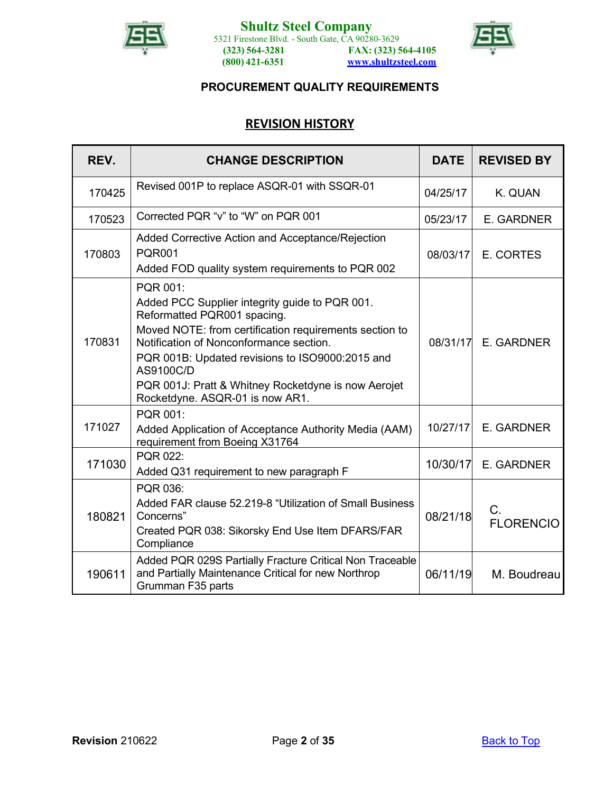



# **REVISION HISTORY**

<span id="page-1-0"></span>

| REV.   | <b>CHANGE DESCRIPTION</b>                                                                                                                                                                                                                                                                                                                                |          | <b>REVISED BY</b>               |
|--------|----------------------------------------------------------------------------------------------------------------------------------------------------------------------------------------------------------------------------------------------------------------------------------------------------------------------------------------------------------|----------|---------------------------------|
| 170425 | Revised 001P to replace ASQR-01 with SSQR-01                                                                                                                                                                                                                                                                                                             | 04/25/17 | K. QUAN                         |
| 170523 | Corrected PQR "v" to "W" on PQR 001                                                                                                                                                                                                                                                                                                                      | 05/23/17 | E. GARDNER                      |
| 170803 | Added Corrective Action and Acceptance/Rejection<br><b>PQR001</b><br>08/03/17<br>Added FOD quality system requirements to PQR 002                                                                                                                                                                                                                        |          | E. CORTES                       |
| 170831 | PQR 001:<br>Added PCC Supplier integrity guide to PQR 001.<br>Reformatted PQR001 spacing.<br>Moved NOTE: from certification requirements section to<br>Notification of Nonconformance section.<br>PQR 001B: Updated revisions to ISO9000:2015 and<br>AS9100C/D<br>PQR 001J: Pratt & Whitney Rocketdyne is now Aerojet<br>Rocketdyne. ASQR-01 is now AR1. | 08/31/17 | E. GARDNER                      |
| 171027 | PQR 001:<br>Added Application of Acceptance Authority Media (AAM)<br>requirement from Boeing X31764                                                                                                                                                                                                                                                      | 10/27/17 | E. GARDNER                      |
| 171030 | <b>PQR 022:</b><br>Added Q31 requirement to new paragraph F                                                                                                                                                                                                                                                                                              | 10/30/17 | E. GARDNER                      |
| 180821 | PQR 036:<br>Added FAR clause 52.219-8 "Utilization of Small Business<br>Concerns"<br>Created PQR 038: Sikorsky End Use Item DFARS/FAR<br>Compliance                                                                                                                                                                                                      | 08/21/18 | $C_{\cdot}$<br><b>FLORENCIO</b> |
| 190611 | Added PQR 029S Partially Fracture Critical Non Traceable<br>and Partially Maintenance Critical for new Northrop<br>Grumman F35 parts                                                                                                                                                                                                                     | 06/11/19 | M. Boudreau                     |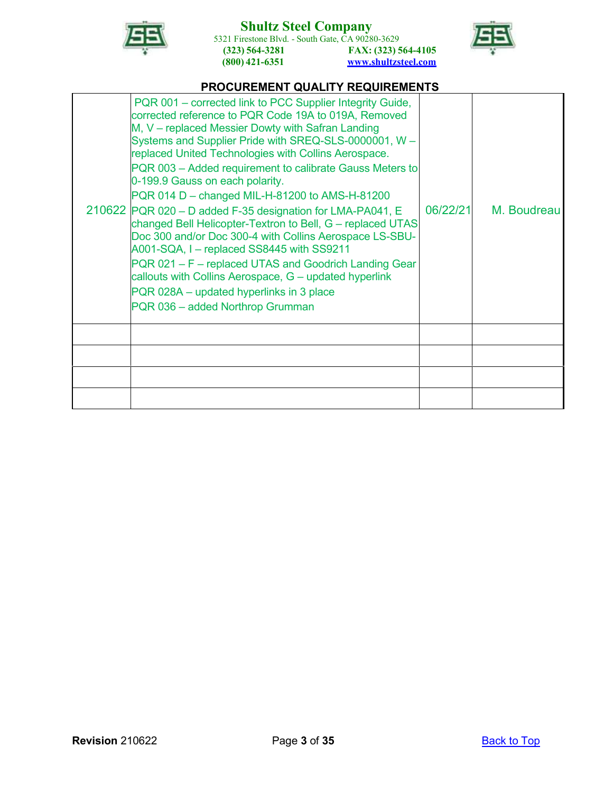

5321 Firestone Blvd. - South Gate, CA 90280-3629 **(323) 564-3281 (800) 421-6351 FAX: (323) 564-4105 [www.shultzsteel.com](http://www.shultzsteel.com/)**



# **PROCUREMENT QUALITY REQUIREMENTS**

| PQR 001 – corrected link to PCC Supplier Integrity Guide,<br>corrected reference to PQR Code 19A to 019A, Removed<br>M, V - replaced Messier Dowty with Safran Landing<br>Systems and Supplier Pride with SREQ-SLS-0000001, W -<br>replaced United Technologies with Collins Aerospace.<br>PQR 003 - Added requirement to calibrate Gauss Meters to<br>0-199.9 Gauss on each polarity.<br>PQR 014 D - changed MIL-H-81200 to AMS-H-81200<br>210622 PQR 020 - D added F-35 designation for LMA-PA041, E<br>changed Bell Helicopter-Textron to Bell, G - replaced UTAS<br>Doc 300 and/or Doc 300-4 with Collins Aerospace LS-SBU-<br>A001-SQA, I - replaced SS8445 with SS9211<br>PQR 021 - F - replaced UTAS and Goodrich Landing Gear<br>callouts with Collins Aerospace, G - updated hyperlink<br>PQR 028A – updated hyperlinks in 3 place<br>PQR 036 - added Northrop Grumman | 06/22/21 | M. Boudreau |
|---------------------------------------------------------------------------------------------------------------------------------------------------------------------------------------------------------------------------------------------------------------------------------------------------------------------------------------------------------------------------------------------------------------------------------------------------------------------------------------------------------------------------------------------------------------------------------------------------------------------------------------------------------------------------------------------------------------------------------------------------------------------------------------------------------------------------------------------------------------------------------|----------|-------------|
|                                                                                                                                                                                                                                                                                                                                                                                                                                                                                                                                                                                                                                                                                                                                                                                                                                                                                 |          |             |
|                                                                                                                                                                                                                                                                                                                                                                                                                                                                                                                                                                                                                                                                                                                                                                                                                                                                                 |          |             |
|                                                                                                                                                                                                                                                                                                                                                                                                                                                                                                                                                                                                                                                                                                                                                                                                                                                                                 |          |             |
|                                                                                                                                                                                                                                                                                                                                                                                                                                                                                                                                                                                                                                                                                                                                                                                                                                                                                 |          |             |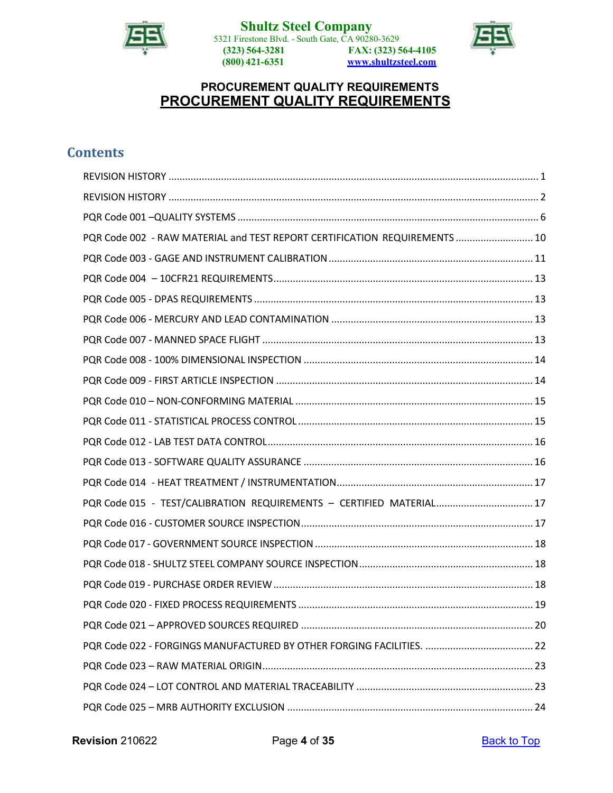



# **PROCUREMENT QUALITY REQUIREMENTS PROCUREMENT QUALITY REQUIREMENTS**

# **Contents**

| PQR Code 002 - RAW MATERIAL and TEST REPORT CERTIFICATION REQUIREMENTS  10 |
|----------------------------------------------------------------------------|
|                                                                            |
|                                                                            |
|                                                                            |
|                                                                            |
|                                                                            |
|                                                                            |
|                                                                            |
|                                                                            |
|                                                                            |
|                                                                            |
|                                                                            |
|                                                                            |
| PQR Code 015 - TEST/CALIBRATION REQUIREMENTS - CERTIFIED MATERIAL 17       |
|                                                                            |
|                                                                            |
|                                                                            |
|                                                                            |
|                                                                            |
|                                                                            |
|                                                                            |
|                                                                            |
|                                                                            |
|                                                                            |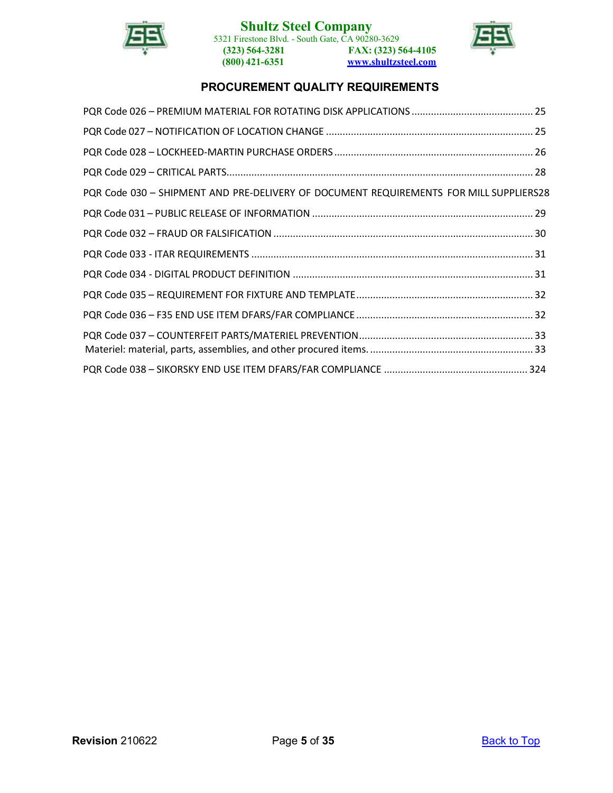

# **Shultz Steel Company**

5321 Firestone Blvd. - South Gate, CA 90280-3629 **(323) 564-3281 (800) 421-6351 FAX: (323) 564-4105 [www.shultzsteel.com](http://www.shultzsteel.com/)**



# **PROCUREMENT QUALITY REQUIREMENTS**

| PQR Code 030 - SHIPMENT AND PRE-DELIVERY OF DOCUMENT REQUIREMENTS FOR MILL SUPPLIERS28 |  |
|----------------------------------------------------------------------------------------|--|
|                                                                                        |  |
|                                                                                        |  |
|                                                                                        |  |
|                                                                                        |  |
|                                                                                        |  |
|                                                                                        |  |
|                                                                                        |  |
|                                                                                        |  |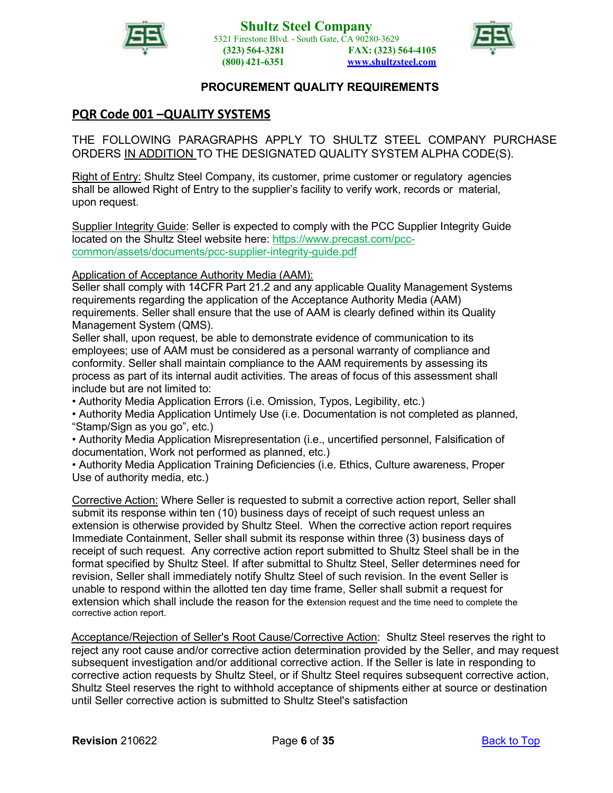



# <span id="page-5-0"></span>**PQR Code 001 –QUALITY SYSTEMS**

THE FOLLOWING PARAGRAPHS APPLY TO SHULTZ STEEL COMPANY PURCHASE ORDERS IN ADDITION TO THE DESIGNATED QUALITY SYSTEM ALPHA CODE(S).

Right of Entry: Shultz Steel Company, its customer, prime customer or regulatory agencies shall be allowed Right of Entry to the supplier's facility to verify work, records or material, upon request.

Supplier Integrity Guide: Seller is expected to comply with the PCC Supplier Integrity Guide located on the Shultz Steel website here: [https://www.precast.com/pcc](https://www.precast.com/pcc-common/assets/documents/pcc-supplier-integrity-guide.pdf)[common/assets/documents/pcc-supplier-integrity-guide.pdf](https://www.precast.com/pcc-common/assets/documents/pcc-supplier-integrity-guide.pdf)

Application of Acceptance Authority Media (AAM):

Seller shall comply with 14CFR Part 21.2 and any applicable Quality Management Systems requirements regarding the application of the Acceptance Authority Media (AAM) requirements. Seller shall ensure that the use of AAM is clearly defined within its Quality Management System (QMS).

Seller shall, upon request, be able to demonstrate evidence of communication to its employees; use of AAM must be considered as a personal warranty of compliance and conformity. Seller shall maintain compliance to the AAM requirements by assessing its process as part of its internal audit activities. The areas of focus of this assessment shall include but are not limited to:

• Authority Media Application Errors (i.e. Omission, Typos, Legibility, etc.)

• Authority Media Application Untimely Use (i.e. Documentation is not completed as planned, "Stamp/Sign as you go", etc.)

• Authority Media Application Misrepresentation (i.e., uncertified personnel, Falsification of documentation, Work not performed as planned, etc.)

• Authority Media Application Training Deficiencies (i.e. Ethics, Culture awareness, Proper Use of authority media, etc.)

Corrective Action: Where Seller is requested to submit a corrective action report, Seller shall submit its response within ten (10) business days of receipt of such request unless an extension is otherwise provided by Shultz Steel. When the corrective action report requires Immediate Containment, Seller shall submit its response within three (3) business days of receipt of such request. Any corrective action report submitted to Shultz Steel shall be in the format specified by Shultz Steel. If after submittal to Shultz Steel, Seller determines need for revision, Seller shall immediately notify Shultz Steel of such revision. In the event Seller is unable to respond within the allotted ten day time frame, Seller shall submit a request for extension which shall include the reason for the extension request and the time need to complete the corrective action report.

Acceptance/Rejection of Seller's Root Cause/Corrective Action: Shultz Steel reserves the right to reject any root cause and/or corrective action determination provided by the Seller, and may request subsequent investigation and/or additional corrective action. If the Seller is late in responding to corrective action requests by Shultz Steel, or if Shultz Steel requires subsequent corrective action, Shultz Steel reserves the right to withhold acceptance of shipments either at source or destination until Seller corrective action is submitted to Shultz Steel's satisfaction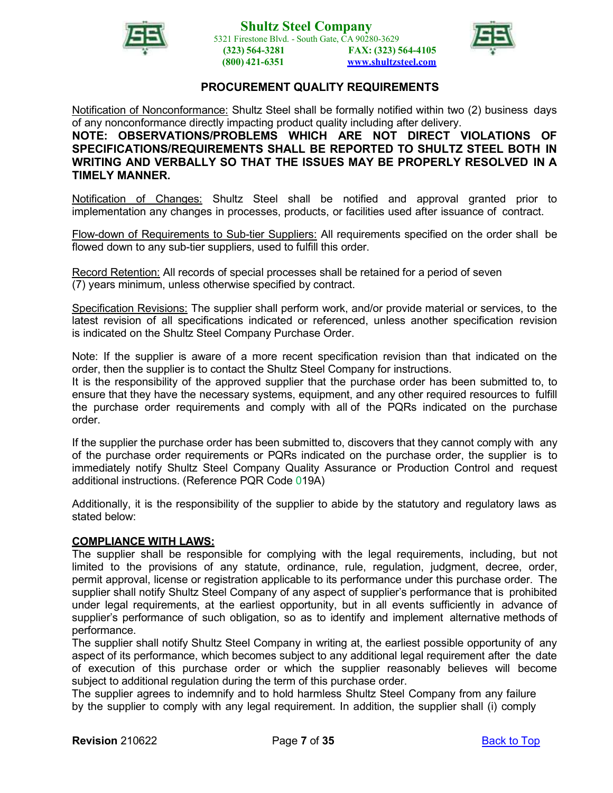



Notification of Nonconformance: Shultz Steel shall be formally notified within two (2) business days of any nonconformance directly impacting product quality including after delivery.

**NOTE: OBSERVATIONS/PROBLEMS WHICH ARE NOT DIRECT VIOLATIONS OF SPECIFICATIONS/REQUIREMENTS SHALL BE REPORTED TO SHULTZ STEEL BOTH IN WRITING AND VERBALLY SO THAT THE ISSUES MAY BE PROPERLY RESOLVED IN A TIMELY MANNER.**

Notification of Changes: Shultz Steel shall be notified and approval granted prior to implementation any changes in processes, products, or facilities used after issuance of contract.

Flow-down of Requirements to Sub-tier Suppliers: All requirements specified on the order shall be flowed down to any sub-tier suppliers, used to fulfill this order.

Record Retention: All records of special processes shall be retained for a period of seven (7) years minimum, unless otherwise specified by contract.

Specification Revisions: The supplier shall perform work, and/or provide material or services, to the latest revision of all specifications indicated or referenced, unless another specification revision is indicated on the Shultz Steel Company Purchase Order.

Note: If the supplier is aware of a more recent specification revision than that indicated on the order, then the supplier is to contact the Shultz Steel Company for instructions.

It is the responsibility of the approved supplier that the purchase order has been submitted to, to ensure that they have the necessary systems, equipment, and any other required resources to fulfill the purchase order requirements and comply with all of the PQRs indicated on the purchase order.

If the supplier the purchase order has been submitted to, discovers that they cannot comply with any of the purchase order requirements or PQRs indicated on the purchase order, the supplier is to immediately notify Shultz Steel Company Quality Assurance or Production Control and request additional instructions. (Reference PQR Code 019A)

Additionally, it is the responsibility of the supplier to abide by the statutory and regulatory laws as stated below:

#### **COMPLIANCE WITH LAWS:**

The supplier shall be responsible for complying with the legal requirements, including, but not limited to the provisions of any statute, ordinance, rule, regulation, judgment, decree, order, permit approval, license or registration applicable to its performance under this purchase order. The supplier shall notify Shultz Steel Company of any aspect of supplier's performance that is prohibited under legal requirements, at the earliest opportunity, but in all events sufficiently in advance of supplier's performance of such obligation, so as to identify and implement alternative methods of performance.

The supplier shall notify Shultz Steel Company in writing at, the earliest possible opportunity of any aspect of its performance, which becomes subject to any additional legal requirement after the date of execution of this purchase order or which the supplier reasonably believes will become subject to additional regulation during the term of this purchase order.

The supplier agrees to indemnify and to hold harmless Shultz Steel Company from any failure by the supplier to comply with any legal requirement. In addition, the supplier shall (i) comply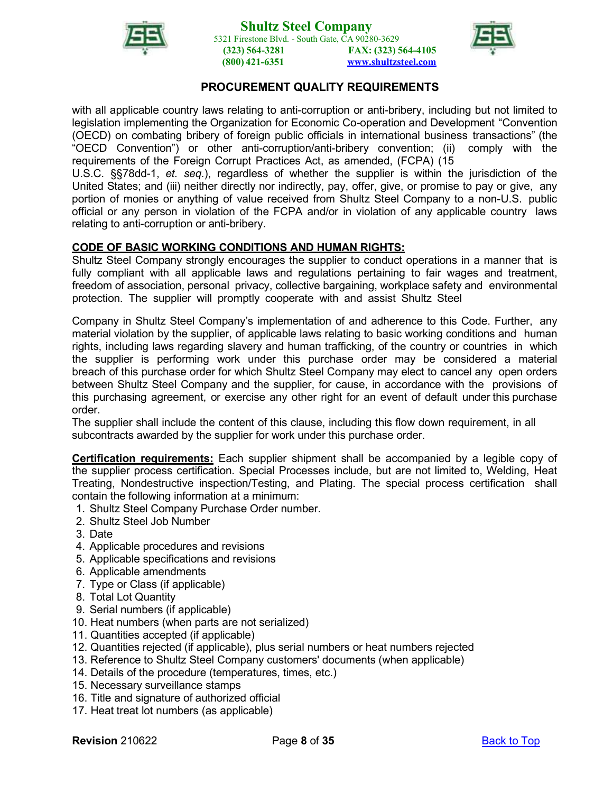



with all applicable country laws relating to anti-corruption or anti-bribery, including but not limited to legislation implementing the Organization for Economic Co-operation and Development "Convention (OECD) on combating bribery of foreign public officials in international business transactions" (the "OECD Convention") or other anti-corruption/anti-bribery convention; (ii) comply with the requirements of the Foreign Corrupt Practices Act, as amended, (FCPA) (15

U.S.C. §§78dd-1, *et. seq.*), regardless of whether the supplier is within the jurisdiction of the United States; and (iii) neither directly nor indirectly, pay, offer, give, or promise to pay or give, any portion of monies or anything of value received from Shultz Steel Company to a non-U.S. public official or any person in violation of the FCPA and/or in violation of any applicable country laws relating to anti-corruption or anti-bribery.

# **CODE OF BASIC WORKING CONDITIONS AND HUMAN RIGHTS:**

Shultz Steel Company strongly encourages the supplier to conduct operations in a manner that is fully compliant with all applicable laws and regulations pertaining to fair wages and treatment, freedom of association, personal privacy, collective bargaining, workplace safety and environmental protection. The supplier will promptly cooperate with and assist Shultz Steel

Company in Shultz Steel Company's implementation of and adherence to this Code. Further, any material violation by the supplier, of applicable laws relating to basic working conditions and human rights, including laws regarding slavery and human trafficking, of the country or countries in which the supplier is performing work under this purchase order may be considered a material breach of this purchase order for which Shultz Steel Company may elect to cancel any open orders between Shultz Steel Company and the supplier, for cause, in accordance with the provisions of this purchasing agreement, or exercise any other right for an event of default under this purchase order.

The supplier shall include the content of this clause, including this flow down requirement, in all subcontracts awarded by the supplier for work under this purchase order.

**Certification requirements:** Each supplier shipment shall be accompanied by a legible copy of the supplier process certification. Special Processes include, but are not limited to, Welding, Heat Treating, Nondestructive inspection/Testing, and Plating. The special process certification shall contain the following information at a minimum:

- 1. Shultz Steel Company Purchase Order number.
- 2. Shultz Steel Job Number
- 3. Date
- 4. Applicable procedures and revisions
- 5. Applicable specifications and revisions
- 6. Applicable amendments
- 7. Type or Class (if applicable)
- 8. Total Lot Quantity
- 9. Serial numbers (if applicable)
- 10. Heat numbers (when parts are not serialized)
- 11. Quantities accepted (if applicable)
- 12. Quantities rejected (if applicable), plus serial numbers or heat numbers rejected
- 13. Reference to Shultz Steel Company customers' documents (when applicable)
- 14. Details of the procedure (temperatures, times, etc.)
- 15. Necessary surveillance stamps
- 16. Title and signature of authorized official
- 17. Heat treat lot numbers (as applicable)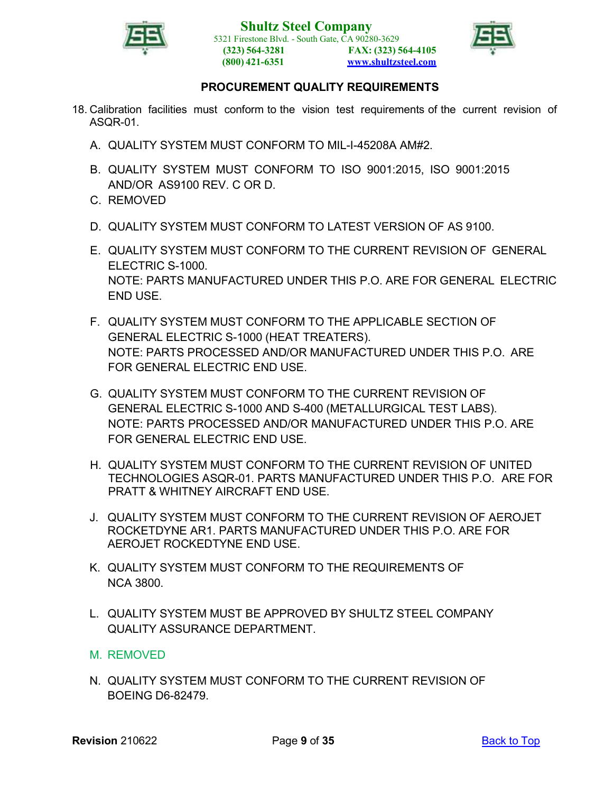

**Shultz Steel Company** 5321 Firestone Blvd. - South Gate, CA 90280-3629 **(323) 564-3281 (800) 421-6351 FAX: (323) 564-4105 [www.shultzsteel.com](http://www.shultzsteel.com/)**



### **PROCUREMENT QUALITY REQUIREMENTS**

- 18. Calibration facilities must conform to the vision test requirements of the current revision of ASQR-01.
	- A. QUALITY SYSTEM MUST CONFORM TO MIL-I-45208A AM#2.
	- B. QUALITY SYSTEM MUST CONFORM TO ISO 9001:2015, ISO 9001:2015 AND/OR AS9100 REV. C OR D.
	- C. REMOVED
	- D. QUALITY SYSTEM MUST CONFORM TO LATEST VERSION OF AS 9100.
	- E. QUALITY SYSTEM MUST CONFORM TO THE CURRENT REVISION OF GENERAL ELECTRIC S-1000. NOTE: PARTS MANUFACTURED UNDER THIS P.O. ARE FOR GENERAL ELECTRIC END USE.
	- F. QUALITY SYSTEM MUST CONFORM TO THE APPLICABLE SECTION OF GENERAL ELECTRIC S-1000 (HEAT TREATERS). NOTE: PARTS PROCESSED AND/OR MANUFACTURED UNDER THIS P.O. ARE FOR GENERAL ELECTRIC END USE.
	- G. QUALITY SYSTEM MUST CONFORM TO THE CURRENT REVISION OF GENERAL ELECTRIC S-1000 AND S-400 (METALLURGICAL TEST LABS). NOTE: PARTS PROCESSED AND/OR MANUFACTURED UNDER THIS P.O. ARE FOR GENERAL ELECTRIC END USE.
	- H. QUALITY SYSTEM MUST CONFORM TO THE CURRENT REVISION OF UNITED TECHNOLOGIES ASQR-01. PARTS MANUFACTURED UNDER THIS P.O. ARE FOR PRATT & WHITNEY AIRCRAFT END USE.
	- J. QUALITY SYSTEM MUST CONFORM TO THE CURRENT REVISION OF AEROJET ROCKETDYNE AR1. PARTS MANUFACTURED UNDER THIS P.O. ARE FOR AEROJET ROCKEDTYNE END USE.
	- K. QUALITY SYSTEM MUST CONFORM TO THE REQUIREMENTS OF NCA 3800.
	- L. QUALITY SYSTEM MUST BE APPROVED BY SHULTZ STEEL COMPANY QUALITY ASSURANCE DEPARTMENT.
	- M. REMOVED
	- N. QUALITY SYSTEM MUST CONFORM TO THE CURRENT REVISION OF BOEING D6-82479.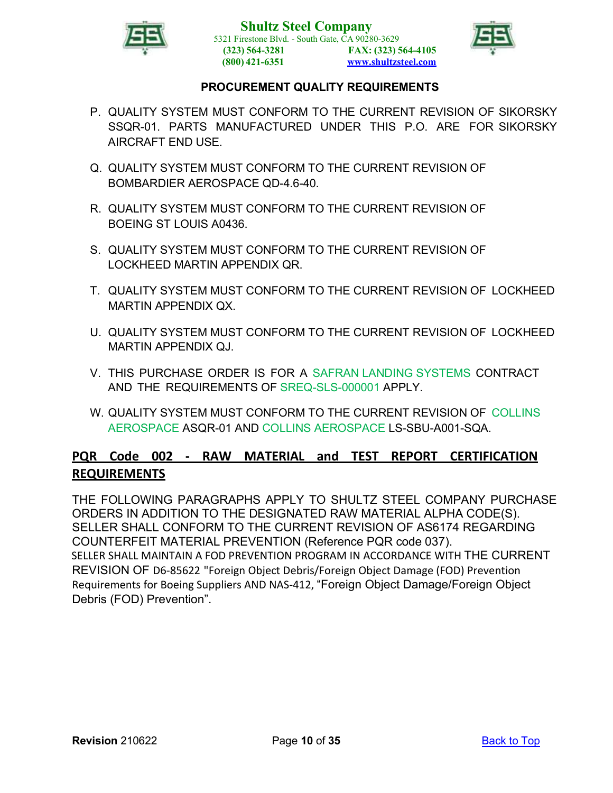



- P. QUALITY SYSTEM MUST CONFORM TO THE CURRENT REVISION OF SIKORSKY SSQR-01. PARTS MANUFACTURED UNDER THIS P.O. ARE FOR SIKORSKY AIRCRAFT END USE.
- Q. QUALITY SYSTEM MUST CONFORM TO THE CURRENT REVISION OF BOMBARDIER AEROSPACE QD-4.6-40.
- R. QUALITY SYSTEM MUST CONFORM TO THE CURRENT REVISION OF BOEING ST LOUIS A0436.
- S. QUALITY SYSTEM MUST CONFORM TO THE CURRENT REVISION OF LOCKHEED MARTIN APPENDIX QR.
- T. QUALITY SYSTEM MUST CONFORM TO THE CURRENT REVISION OF LOCKHEED MARTIN APPENDIX QX.
- U. QUALITY SYSTEM MUST CONFORM TO THE CURRENT REVISION OF LOCKHEED MARTIN APPENDIX QJ.
- V. THIS PURCHASE ORDER IS FOR A SAFRAN LANDING SYSTEMS CONTRACT AND THE REQUIREMENTS OF SREQ-SLS-000001 APPLY.
- W. QUALITY SYSTEM MUST CONFORM TO THE CURRENT REVISION OF COLLINS AEROSPACE ASQR-01 AND COLLINS AEROSPACE LS-SBU-A001-SQA.

# <span id="page-9-0"></span>**PQR Code 002 - RAW MATERIAL and TEST REPORT CERTIFICATION REQUIREMENTS**

THE FOLLOWING PARAGRAPHS APPLY TO SHULTZ STEEL COMPANY PURCHASE ORDERS IN ADDITION TO THE DESIGNATED RAW MATERIAL ALPHA CODE(S). SELLER SHALL CONFORM TO THE CURRENT REVISION OF AS6174 REGARDING COUNTERFEIT MATERIAL PREVENTION (Reference PQR code 037). SELLER SHALL MAINTAIN A FOD PREVENTION PROGRAM IN ACCORDANCE WITH THE CURRENT REVISION OF D6-85622 "Foreign Object Debris/Foreign Object Damage (FOD) Prevention Requirements for Boeing Suppliers AND NAS-412, "Foreign Object Damage/Foreign Object Debris (FOD) Prevention".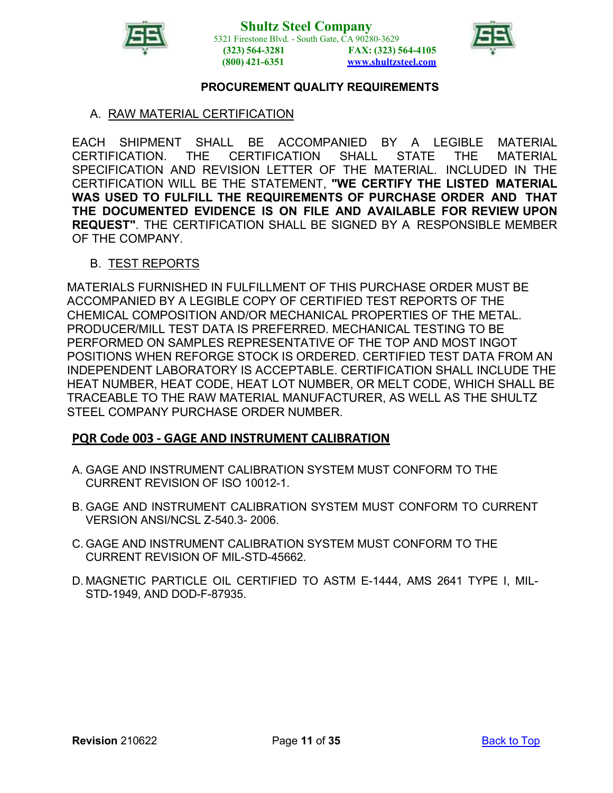



#### A. RAW MATERIAL CERTIFICATION

EACH SHIPMENT SHALL BE ACCOMPANIED BY A LEGIBLE MATERIAL CERTIFICATION. THE CERTIFICATION SHALL STATE THE MATERIAL SPECIFICATION AND REVISION LETTER OF THE MATERIAL. INCLUDED IN THE CERTIFICATION WILL BE THE STATEMENT, **"WE CERTIFY THE LISTED MATERIAL WAS USED TO FULFILL THE REQUIREMENTS OF PURCHASE ORDER AND THAT THE DOCUMENTED EVIDENCE IS ON FILE AND AVAILABLE FOR REVIEW UPON REQUEST"**. THE CERTIFICATION SHALL BE SIGNED BY A RESPONSIBLE MEMBER OF THE COMPANY.

#### B. TEST REPORTS

MATERIALS FURNISHED IN FULFILLMENT OF THIS PURCHASE ORDER MUST BE ACCOMPANIED BY A LEGIBLE COPY OF CERTIFIED TEST REPORTS OF THE CHEMICAL COMPOSITION AND/OR MECHANICAL PROPERTIES OF THE METAL. PRODUCER/MILL TEST DATA IS PREFERRED. MECHANICAL TESTING TO BE PERFORMED ON SAMPLES REPRESENTATIVE OF THE TOP AND MOST INGOT POSITIONS WHEN REFORGE STOCK IS ORDERED. CERTIFIED TEST DATA FROM AN INDEPENDENT LABORATORY IS ACCEPTABLE. CERTIFICATION SHALL INCLUDE THE HEAT NUMBER, HEAT CODE, HEAT LOT NUMBER, OR MELT CODE, WHICH SHALL BE TRACEABLE TO THE RAW MATERIAL MANUFACTURER, AS WELL AS THE SHULTZ STEEL COMPANY PURCHASE ORDER NUMBER.

#### <span id="page-10-0"></span>**PQR Code 003 - GAGE AND INSTRUMENT CALIBRATION**

- A. GAGE AND INSTRUMENT CALIBRATION SYSTEM MUST CONFORM TO THE CURRENT REVISION OF ISO 10012-1.
- B. GAGE AND INSTRUMENT CALIBRATION SYSTEM MUST CONFORM TO CURRENT VERSION ANSI/NCSL Z-540.3- 2006.
- C. GAGE AND INSTRUMENT CALIBRATION SYSTEM MUST CONFORM TO THE CURRENT REVISION OF MIL-STD-45662.
- D. MAGNETIC PARTICLE OIL CERTIFIED TO ASTM E-1444, AMS 2641 TYPE I, MIL-STD-1949, AND DOD-F-87935.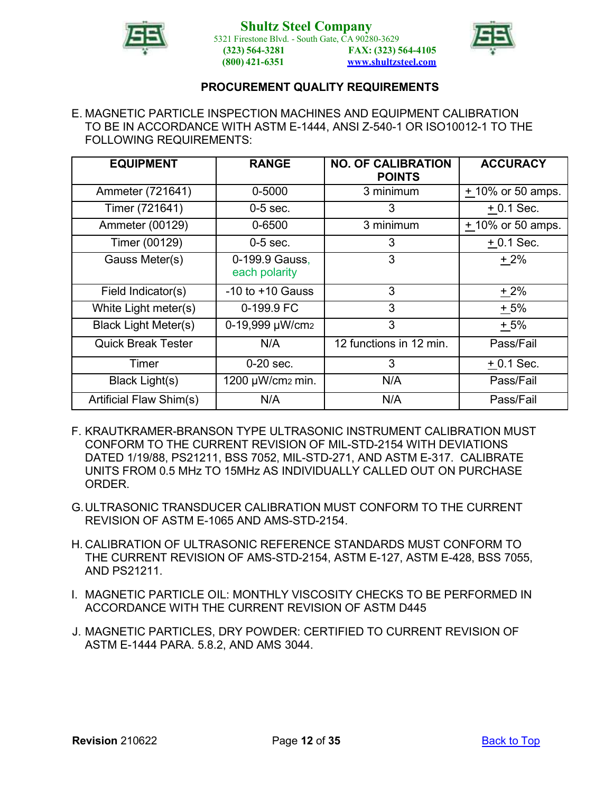



#### E. MAGNETIC PARTICLE INSPECTION MACHINES AND EQUIPMENT CALIBRATION TO BE IN ACCORDANCE WITH ASTM E-1444, ANSI Z-540-1 OR ISO10012-1 TO THE FOLLOWING REQUIREMENTS:

| <b>EQUIPMENT</b>            | <b>RANGE</b>                    | <b>NO. OF CALIBRATION</b><br><b>POINTS</b> | <b>ACCURACY</b>     |
|-----------------------------|---------------------------------|--------------------------------------------|---------------------|
| Ammeter (721641)            | 0-5000                          | 3 minimum                                  | $+10\%$ or 50 amps. |
| Timer (721641)              | $0-5$ sec.                      | 3                                          | $+0.1$ Sec.         |
| Ammeter (00129)             | 0-6500                          | 3 minimum                                  | + 10% or 50 amps.   |
| Timer (00129)               | $0-5$ sec.                      | 3                                          | $+0.1$ Sec.         |
| Gauss Meter(s)              | 0-199.9 Gauss,<br>each polarity | 3                                          | $+2%$               |
| Field Indicator(s)          | $-10$ to $+10$ Gauss            | 3                                          | $+2%$               |
| White Light meter(s)        | 0-199.9 FC                      | 3                                          | $+5%$               |
| <b>Black Light Meter(s)</b> | 0-19,999 µW/cm2                 | 3                                          | $+5%$               |
| <b>Quick Break Tester</b>   | N/A                             | 12 functions in 12 min.                    | Pass/Fail           |
| Timer                       | $0-20$ sec.                     | 3                                          | $+0.1$ Sec.         |
| Black Light(s)              | 1200 µW/cm2 min.                | N/A                                        | Pass/Fail           |
| Artificial Flaw Shim(s)     | N/A                             | N/A                                        | Pass/Fail           |

- F. KRAUTKRAMER-BRANSON TYPE ULTRASONIC INSTRUMENT CALIBRATION MUST CONFORM TO THE CURRENT REVISION OF MIL-STD-2154 WITH DEVIATIONS DATED 1/19/88, PS21211, BSS 7052, MIL-STD-271, AND ASTM E-317. CALIBRATE UNITS FROM 0.5 MHz TO 15MHz AS INDIVIDUALLY CALLED OUT ON PURCHASE ORDER.
- G.ULTRASONIC TRANSDUCER CALIBRATION MUST CONFORM TO THE CURRENT REVISION OF ASTM E-1065 AND AMS-STD-2154.
- H. CALIBRATION OF ULTRASONIC REFERENCE STANDARDS MUST CONFORM TO THE CURRENT REVISION OF AMS-STD-2154, ASTM E-127, ASTM E-428, BSS 7055, AND PS21211.
- I. MAGNETIC PARTICLE OIL: MONTHLY VISCOSITY CHECKS TO BE PERFORMED IN ACCORDANCE WITH THE CURRENT REVISION OF ASTM D445
- J. MAGNETIC PARTICLES, DRY POWDER: CERTIFIED TO CURRENT REVISION OF ASTM E-1444 PARA. 5.8.2, AND AMS 3044.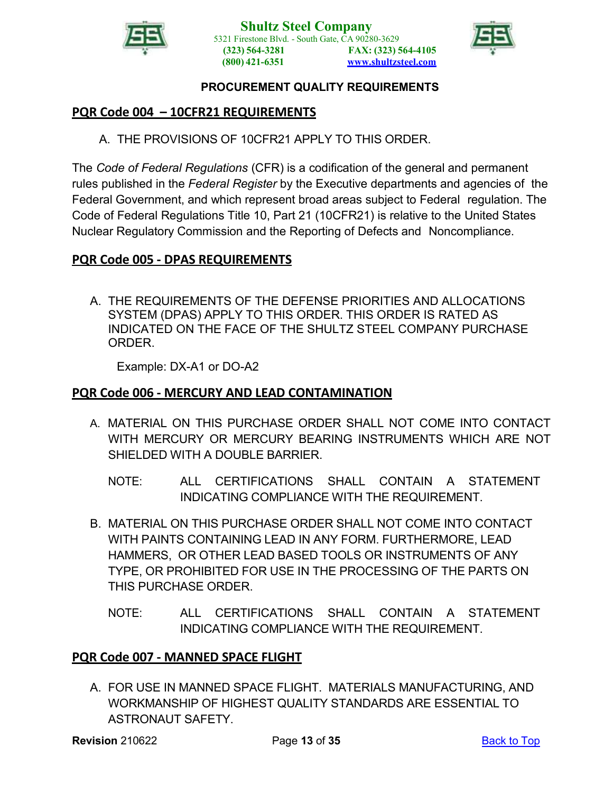



# <span id="page-12-0"></span>**PQR Code 004 – 10CFR21 REQUIREMENTS**

A. THE PROVISIONS OF 10CFR21 APPLY TO THIS ORDER.

The *Code of Federal Regulations* (CFR) is a codification of the general and permanent rules published in the *Federal Register* by the Executive departments and agencies of the Federal Government, and which represent broad areas subject to Federal regulation. The Code of Federal Regulations Title 10, Part 21 (10CFR21) is relative to the United States Nuclear Regulatory Commission and the Reporting of Defects and Noncompliance.

### <span id="page-12-1"></span>**PQR Code 005 - DPAS REQUIREMENTS**

A. THE REQUIREMENTS OF THE DEFENSE PRIORITIES AND ALLOCATIONS SYSTEM (DPAS) APPLY TO THIS ORDER. THIS ORDER IS RATED AS INDICATED ON THE FACE OF THE SHULTZ STEEL COMPANY PURCHASE ORDER.

Example: DX-A1 or DO-A2

# <span id="page-12-2"></span>**PQR Code 006 - MERCURY AND LEAD CONTAMINATION**

- A. MATERIAL ON THIS PURCHASE ORDER SHALL NOT COME INTO CONTACT WITH MERCURY OR MERCURY BEARING INSTRUMENTS WHICH ARE NOT SHIELDED WITH A DOUBLE BARRIER.
	- NOTE: ALL CERTIFICATIONS SHALL CONTAIN A STATEMENT INDICATING COMPLIANCE WITH THE REQUIREMENT.
- B. MATERIAL ON THIS PURCHASE ORDER SHALL NOT COME INTO CONTACT WITH PAINTS CONTAINING LEAD IN ANY FORM. FURTHERMORE, LEAD HAMMERS, OR OTHER LEAD BASED TOOLS OR INSTRUMENTS OF ANY TYPE, OR PROHIBITED FOR USE IN THE PROCESSING OF THE PARTS ON THIS PURCHASE ORDER.
	- NOTE: ALL CERTIFICATIONS SHALL CONTAIN A STATEMENT INDICATING COMPLIANCE WITH THE REQUIREMENT.

# <span id="page-12-3"></span>**PQR Code 007 - MANNED SPACE FLIGHT**

A. FOR USE IN MANNED SPACE FLIGHT. MATERIALS MANUFACTURING, AND WORKMANSHIP OF HIGHEST QUALITY STANDARDS ARE ESSENTIAL TO ASTRONAUT SAFETY.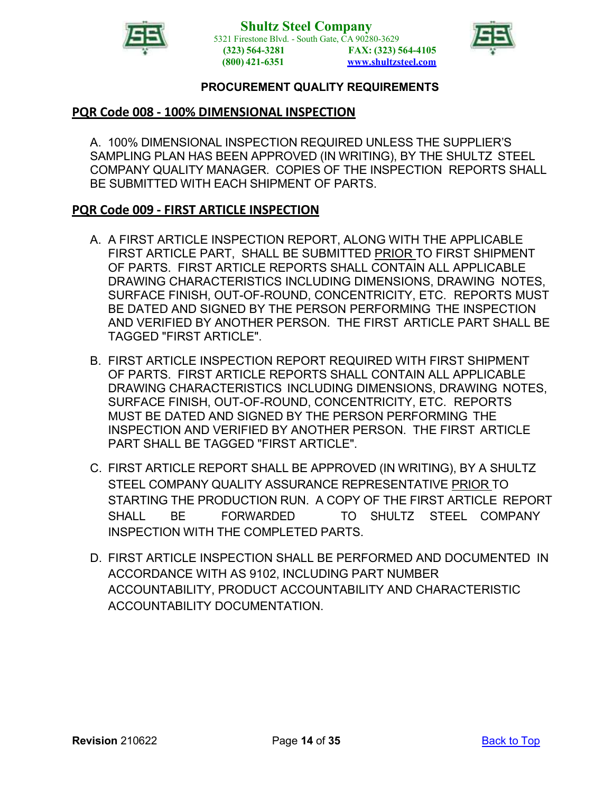



### <span id="page-13-0"></span>**PQR Code 008 - 100% DIMENSIONAL INSPECTION**

A. 100% DIMENSIONAL INSPECTION REQUIRED UNLESS THE SUPPLIER'S SAMPLING PLAN HAS BEEN APPROVED (IN WRITING), BY THE SHULTZ STEEL COMPANY QUALITY MANAGER. COPIES OF THE INSPECTION REPORTS SHALL BE SUBMITTED WITH EACH SHIPMENT OF PARTS.

### <span id="page-13-1"></span>**PQR Code 009 - FIRST ARTICLE INSPECTION**

- A. A FIRST ARTICLE INSPECTION REPORT, ALONG WITH THE APPLICABLE FIRST ARTICLE PART, SHALL BE SUBMITTED PRIOR TO FIRST SHIPMENT OF PARTS. FIRST ARTICLE REPORTS SHALL CONTAIN ALL APPLICABLE DRAWING CHARACTERISTICS INCLUDING DIMENSIONS, DRAWING NOTES, SURFACE FINISH, OUT-OF-ROUND, CONCENTRICITY, ETC. REPORTS MUST BE DATED AND SIGNED BY THE PERSON PERFORMING THE INSPECTION AND VERIFIED BY ANOTHER PERSON. THE FIRST ARTICLE PART SHALL BE TAGGED "FIRST ARTICLE".
- B. FIRST ARTICLE INSPECTION REPORT REQUIRED WITH FIRST SHIPMENT OF PARTS. FIRST ARTICLE REPORTS SHALL CONTAIN ALL APPLICABLE DRAWING CHARACTERISTICS INCLUDING DIMENSIONS, DRAWING NOTES, SURFACE FINISH, OUT-OF-ROUND, CONCENTRICITY, ETC. REPORTS MUST BE DATED AND SIGNED BY THE PERSON PERFORMING THE INSPECTION AND VERIFIED BY ANOTHER PERSON. THE FIRST ARTICLE PART SHALL BE TAGGED "FIRST ARTICLE".
- C. FIRST ARTICLE REPORT SHALL BE APPROVED (IN WRITING), BY A SHULTZ STEEL COMPANY QUALITY ASSURANCE REPRESENTATIVE PRIOR TO STARTING THE PRODUCTION RUN. A COPY OF THE FIRST ARTICLE REPORT SHALL BE FORWARDED TO SHULTZ STEEL COMPANY INSPECTION WITH THE COMPLETED PARTS.
- D. FIRST ARTICLE INSPECTION SHALL BE PERFORMED AND DOCUMENTED IN ACCORDANCE WITH AS 9102, INCLUDING PART NUMBER ACCOUNTABILITY, PRODUCT ACCOUNTABILITY AND CHARACTERISTIC ACCOUNTABILITY DOCUMENTATION.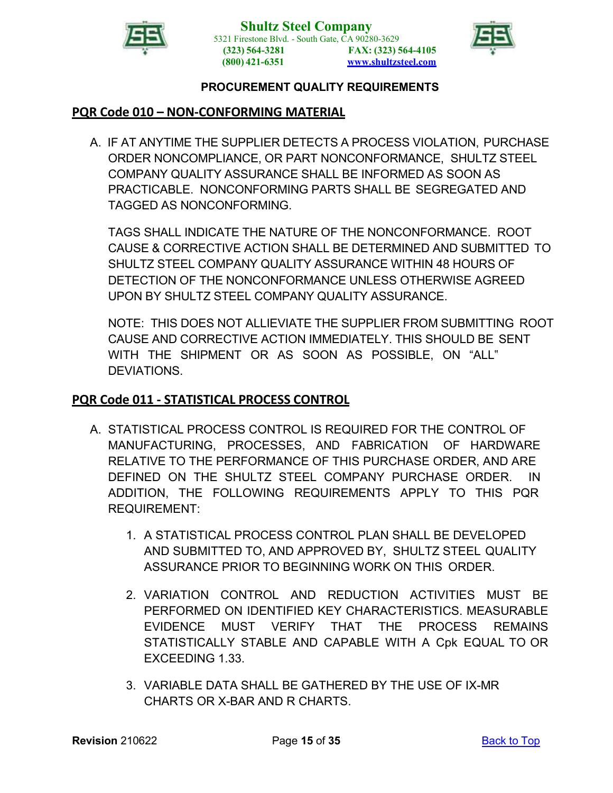



### <span id="page-14-0"></span>**PQR Code 010 – NON-CONFORMING MATERIAL**

A. IF AT ANYTIME THE SUPPLIER DETECTS A PROCESS VIOLATION, PURCHASE ORDER NONCOMPLIANCE, OR PART NONCONFORMANCE, SHULTZ STEEL COMPANY QUALITY ASSURANCE SHALL BE INFORMED AS SOON AS PRACTICABLE. NONCONFORMING PARTS SHALL BE SEGREGATED AND TAGGED AS NONCONFORMING.

TAGS SHALL INDICATE THE NATURE OF THE NONCONFORMANCE. ROOT CAUSE & CORRECTIVE ACTION SHALL BE DETERMINED AND SUBMITTED TO SHULTZ STEEL COMPANY QUALITY ASSURANCE WITHIN 48 HOURS OF DETECTION OF THE NONCONFORMANCE UNLESS OTHERWISE AGREED UPON BY SHULTZ STEEL COMPANY QUALITY ASSURANCE.

NOTE: THIS DOES NOT ALLIEVIATE THE SUPPLIER FROM SUBMITTING ROOT CAUSE AND CORRECTIVE ACTION IMMEDIATELY. THIS SHOULD BE SENT WITH THE SHIPMENT OR AS SOON AS POSSIBLE, ON "ALL" DEVIATIONS.

### <span id="page-14-1"></span>**PQR Code 011 - STATISTICAL PROCESS CONTROL**

- A. STATISTICAL PROCESS CONTROL IS REQUIRED FOR THE CONTROL OF MANUFACTURING, PROCESSES, AND FABRICATION OF HARDWARE RELATIVE TO THE PERFORMANCE OF THIS PURCHASE ORDER, AND ARE DEFINED ON THE SHULTZ STEEL COMPANY PURCHASE ORDER. IN ADDITION, THE FOLLOWING REQUIREMENTS APPLY TO THIS PQR REQUIREMENT:
	- 1. A STATISTICAL PROCESS CONTROL PLAN SHALL BE DEVELOPED AND SUBMITTED TO, AND APPROVED BY, SHULTZ STEEL QUALITY ASSURANCE PRIOR TO BEGINNING WORK ON THIS ORDER.
	- 2. VARIATION CONTROL AND REDUCTION ACTIVITIES MUST BE PERFORMED ON IDENTIFIED KEY CHARACTERISTICS. MEASURABLE EVIDENCE MUST VERIFY THAT THE PROCESS REMAINS STATISTICALLY STABLE AND CAPABLE WITH A Cpk EQUAL TO OR EXCEEDING 1.33.
	- 3. VARIABLE DATA SHALL BE GATHERED BY THE USE OF IX-MR CHARTS OR X-BAR AND R CHARTS.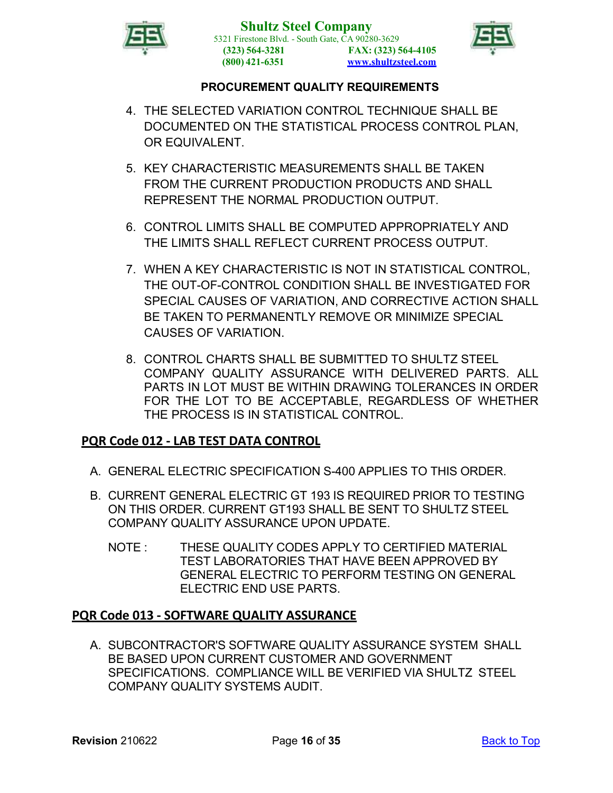



- 4. THE SELECTED VARIATION CONTROL TECHNIQUE SHALL BE DOCUMENTED ON THE STATISTICAL PROCESS CONTROL PLAN, OR EQUIVALENT.
- 5. KEY CHARACTERISTIC MEASUREMENTS SHALL BE TAKEN FROM THE CURRENT PRODUCTION PRODUCTS AND SHALL REPRESENT THE NORMAL PRODUCTION OUTPUT.
- 6. CONTROL LIMITS SHALL BE COMPUTED APPROPRIATELY AND THE LIMITS SHALL REFLECT CURRENT PROCESS OUTPUT.
- 7. WHEN A KEY CHARACTERISTIC IS NOT IN STATISTICAL CONTROL, THE OUT-OF-CONTROL CONDITION SHALL BE INVESTIGATED FOR SPECIAL CAUSES OF VARIATION, AND CORRECTIVE ACTION SHALL BE TAKEN TO PERMANENTLY REMOVE OR MINIMIZE SPECIAL CAUSES OF VARIATION.
- 8. CONTROL CHARTS SHALL BE SUBMITTED TO SHULTZ STEEL COMPANY QUALITY ASSURANCE WITH DELIVERED PARTS. ALL PARTS IN LOT MUST BE WITHIN DRAWING TOLERANCES IN ORDER FOR THE LOT TO BE ACCEPTABLE, REGARDLESS OF WHETHER THE PROCESS IS IN STATISTICAL CONTROL.

# <span id="page-15-0"></span>**PQR Code 012 - LAB TEST DATA CONTROL**

- A. GENERAL ELECTRIC SPECIFICATION S-400 APPLIES TO THIS ORDER.
- B. CURRENT GENERAL ELECTRIC GT 193 IS REQUIRED PRIOR TO TESTING ON THIS ORDER. CURRENT GT193 SHALL BE SENT TO SHULTZ STEEL COMPANY QUALITY ASSURANCE UPON UPDATE.
	- NOTE : THESE QUALITY CODES APPLY TO CERTIFIED MATERIAL TEST LABORATORIES THAT HAVE BEEN APPROVED BY GENERAL ELECTRIC TO PERFORM TESTING ON GENERAL ELECTRIC END USE PARTS.

# <span id="page-15-1"></span>**PQR Code 013 - SOFTWARE QUALITY ASSURANCE**

A. SUBCONTRACTOR'S SOFTWARE QUALITY ASSURANCE SYSTEM SHALL BE BASED UPON CURRENT CUSTOMER AND GOVERNMENT SPECIFICATIONS. COMPLIANCE WILL BE VERIFIED VIA SHULTZ STEEL COMPANY QUALITY SYSTEMS AUDIT.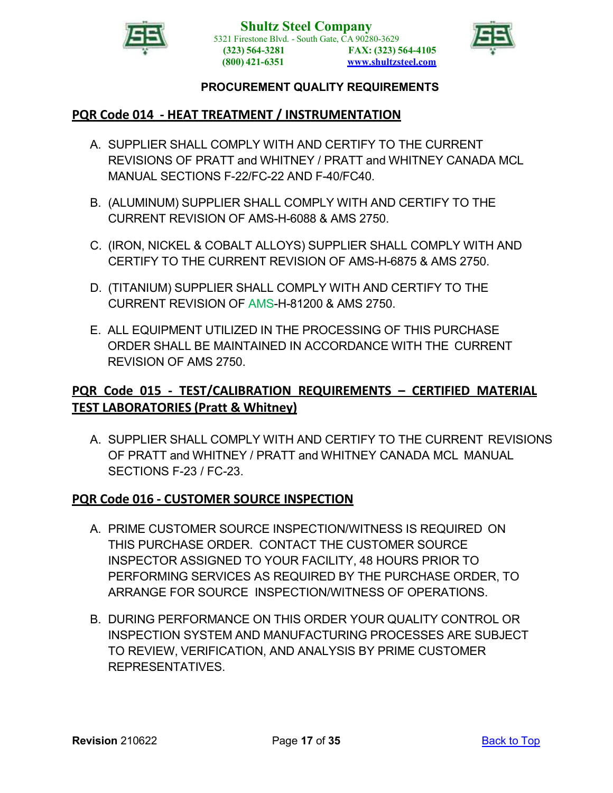



# <span id="page-16-0"></span>**PQR Code 014 - HEAT TREATMENT / INSTRUMENTATION**

- A. SUPPLIER SHALL COMPLY WITH AND CERTIFY TO THE CURRENT REVISIONS OF PRATT and WHITNEY / PRATT and WHITNEY CANADA MCL MANUAL SECTIONS F-22/FC-22 AND F-40/FC40.
- B. (ALUMINUM) SUPPLIER SHALL COMPLY WITH AND CERTIFY TO THE CURRENT REVISION OF AMS-H-6088 & AMS 2750.
- C. (IRON, NICKEL & COBALT ALLOYS) SUPPLIER SHALL COMPLY WITH AND CERTIFY TO THE CURRENT REVISION OF AMS-H-6875 & AMS 2750.
- D. (TITANIUM) SUPPLIER SHALL COMPLY WITH AND CERTIFY TO THE CURRENT REVISION OF AMS-H-81200 & AMS 2750.
- E. ALL EQUIPMENT UTILIZED IN THE PROCESSING OF THIS PURCHASE ORDER SHALL BE MAINTAINED IN ACCORDANCE WITH THE CURRENT REVISION OF AMS 2750.

# <span id="page-16-1"></span>**PQR Code 015 - TEST/CALIBRATION REQUIREMENTS – CERTIFIED MATERIAL TEST LABORATORIES (Pratt & Whitney)**

A. SUPPLIER SHALL COMPLY WITH AND CERTIFY TO THE CURRENT REVISIONS OF PRATT and WHITNEY / PRATT and WHITNEY CANADA MCL MANUAL SECTIONS F-23 / FC-23.

### <span id="page-16-2"></span>**PQR Code 016 - CUSTOMER SOURCE INSPECTION**

- A. PRIME CUSTOMER SOURCE INSPECTION/WITNESS IS REQUIRED ON THIS PURCHASE ORDER. CONTACT THE CUSTOMER SOURCE INSPECTOR ASSIGNED TO YOUR FACILITY, 48 HOURS PRIOR TO PERFORMING SERVICES AS REQUIRED BY THE PURCHASE ORDER, TO ARRANGE FOR SOURCE INSPECTION/WITNESS OF OPERATIONS.
- B. DURING PERFORMANCE ON THIS ORDER YOUR QUALITY CONTROL OR INSPECTION SYSTEM AND MANUFACTURING PROCESSES ARE SUBJECT TO REVIEW, VERIFICATION, AND ANALYSIS BY PRIME CUSTOMER REPRESENTATIVES.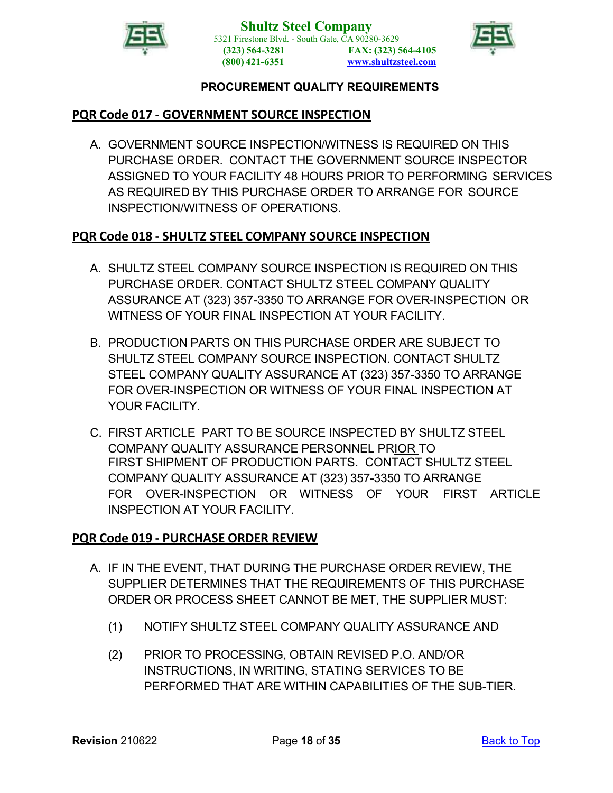



# <span id="page-17-0"></span>**PQR Code 017 - GOVERNMENT SOURCE INSPECTION**

A. GOVERNMENT SOURCE INSPECTION/WITNESS IS REQUIRED ON THIS PURCHASE ORDER. CONTACT THE GOVERNMENT SOURCE INSPECTOR ASSIGNED TO YOUR FACILITY 48 HOURS PRIOR TO PERFORMING SERVICES AS REQUIRED BY THIS PURCHASE ORDER TO ARRANGE FOR SOURCE INSPECTION/WITNESS OF OPERATIONS.

# <span id="page-17-1"></span>**PQR Code 018 - SHULTZ STEEL COMPANY SOURCE INSPECTION**

- A. SHULTZ STEEL COMPANY SOURCE INSPECTION IS REQUIRED ON THIS PURCHASE ORDER. CONTACT SHULTZ STEEL COMPANY QUALITY ASSURANCE AT (323) 357-3350 TO ARRANGE FOR OVER-INSPECTION OR WITNESS OF YOUR FINAL INSPECTION AT YOUR FACILITY.
- B. PRODUCTION PARTS ON THIS PURCHASE ORDER ARE SUBJECT TO SHULTZ STEEL COMPANY SOURCE INSPECTION. CONTACT SHULTZ STEEL COMPANY QUALITY ASSURANCE AT (323) 357-3350 TO ARRANGE FOR OVER-INSPECTION OR WITNESS OF YOUR FINAL INSPECTION AT YOUR FACILITY
- C. FIRST ARTICLE PART TO BE SOURCE INSPECTED BY SHULTZ STEEL COMPANY QUALITY ASSURANCE PERSONNEL PRIOR TO FIRST SHIPMENT OF PRODUCTION PARTS. CONTACT SHULTZ STEEL COMPANY QUALITY ASSURANCE AT (323) 357-3350 TO ARRANGE FOR OVER-INSPECTION OR WITNESS OF YOUR FIRST ARTICLE INSPECTION AT YOUR FACILITY.

### <span id="page-17-2"></span>**PQR Code 019 - PURCHASE ORDER REVIEW**

- A. IF IN THE EVENT, THAT DURING THE PURCHASE ORDER REVIEW, THE SUPPLIER DETERMINES THAT THE REQUIREMENTS OF THIS PURCHASE ORDER OR PROCESS SHEET CANNOT BE MET, THE SUPPLIER MUST:
	- (1) NOTIFY SHULTZ STEEL COMPANY QUALITY ASSURANCE AND
	- (2) PRIOR TO PROCESSING, OBTAIN REVISED P.O. AND/OR INSTRUCTIONS, IN WRITING, STATING SERVICES TO BE PERFORMED THAT ARE WITHIN CAPABILITIES OF THE SUB-TIER.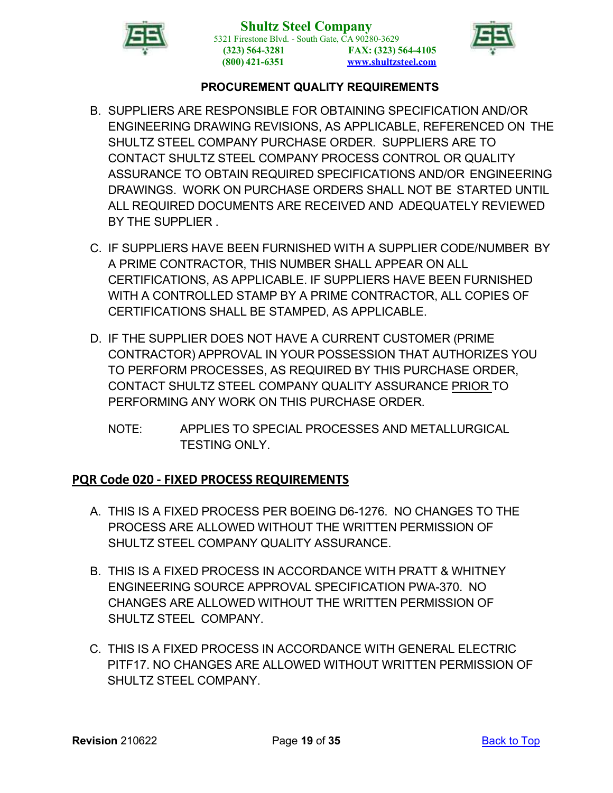



- B. SUPPLIERS ARE RESPONSIBLE FOR OBTAINING SPECIFICATION AND/OR ENGINEERING DRAWING REVISIONS, AS APPLICABLE, REFERENCED ON THE SHULTZ STEEL COMPANY PURCHASE ORDER. SUPPLIERS ARE TO CONTACT SHULTZ STEEL COMPANY PROCESS CONTROL OR QUALITY ASSURANCE TO OBTAIN REQUIRED SPECIFICATIONS AND/OR ENGINEERING DRAWINGS. WORK ON PURCHASE ORDERS SHALL NOT BE STARTED UNTIL ALL REQUIRED DOCUMENTS ARE RECEIVED AND ADEQUATELY REVIEWED BY THE SUPPLIER .
- C. IF SUPPLIERS HAVE BEEN FURNISHED WITH A SUPPLIER CODE/NUMBER BY A PRIME CONTRACTOR, THIS NUMBER SHALL APPEAR ON ALL CERTIFICATIONS, AS APPLICABLE. IF SUPPLIERS HAVE BEEN FURNISHED WITH A CONTROLLED STAMP BY A PRIME CONTRACTOR, ALL COPIES OF CERTIFICATIONS SHALL BE STAMPED, AS APPLICABLE.
- D. IF THE SUPPLIER DOES NOT HAVE A CURRENT CUSTOMER (PRIME CONTRACTOR) APPROVAL IN YOUR POSSESSION THAT AUTHORIZES YOU TO PERFORM PROCESSES, AS REQUIRED BY THIS PURCHASE ORDER, CONTACT SHULTZ STEEL COMPANY QUALITY ASSURANCE PRIOR TO PERFORMING ANY WORK ON THIS PURCHASE ORDER.
	- NOTE: APPLIES TO SPECIAL PROCESSES AND METALLURGICAL TESTING ONLY.

# <span id="page-18-0"></span>**PQR Code 020 - FIXED PROCESS REQUIREMENTS**

- A. THIS IS A FIXED PROCESS PER BOEING D6-1276. NO CHANGES TO THE PROCESS ARE ALLOWED WITHOUT THE WRITTEN PERMISSION OF SHULTZ STEEL COMPANY QUALITY ASSURANCE.
- B. THIS IS A FIXED PROCESS IN ACCORDANCE WITH PRATT & WHITNEY ENGINEERING SOURCE APPROVAL SPECIFICATION PWA-370. NO CHANGES ARE ALLOWED WITHOUT THE WRITTEN PERMISSION OF SHULTZ STEEL COMPANY.
- C. THIS IS A FIXED PROCESS IN ACCORDANCE WITH GENERAL ELECTRIC PITF17. NO CHANGES ARE ALLOWED WITHOUT WRITTEN PERMISSION OF SHULTZ STEEL COMPANY.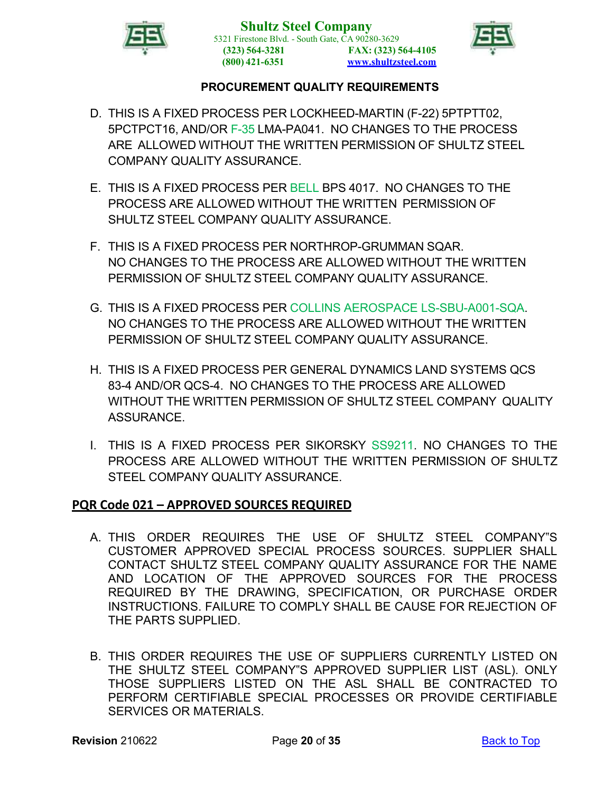



- D. THIS IS A FIXED PROCESS PER LOCKHEED-MARTIN (F-22) 5PTPTT02, 5PCTPCT16, AND/OR F-35 LMA-PA041. NO CHANGES TO THE PROCESS ARE ALLOWED WITHOUT THE WRITTEN PERMISSION OF SHULTZ STEEL COMPANY QUALITY ASSURANCE.
- E. THIS IS A FIXED PROCESS PER BELL BPS 4017. NO CHANGES TO THE PROCESS ARE ALLOWED WITHOUT THE WRITTEN PERMISSION OF SHULTZ STEEL COMPANY QUALITY ASSURANCE.
- F. THIS IS A FIXED PROCESS PER NORTHROP-GRUMMAN SQAR. NO CHANGES TO THE PROCESS ARE ALLOWED WITHOUT THE WRITTEN PERMISSION OF SHULTZ STEEL COMPANY QUALITY ASSURANCE.
- G. THIS IS A FIXED PROCESS PER COLLINS AEROSPACE LS-SBU-A001-SQA. NO CHANGES TO THE PROCESS ARE ALLOWED WITHOUT THE WRITTEN PERMISSION OF SHULTZ STEEL COMPANY QUALITY ASSURANCE.
- H. THIS IS A FIXED PROCESS PER GENERAL DYNAMICS LAND SYSTEMS QCS 83-4 AND/OR QCS-4. NO CHANGES TO THE PROCESS ARE ALLOWED WITHOUT THE WRITTEN PERMISSION OF SHULTZ STEEL COMPANY QUALITY **ASSURANCE**
- I. THIS IS A FIXED PROCESS PER SIKORSKY SS9211. NO CHANGES TO THE PROCESS ARE ALLOWED WITHOUT THE WRITTEN PERMISSION OF SHULTZ STEEL COMPANY QUALITY ASSURANCE.

### <span id="page-19-0"></span>**PQR Code 021 – APPROVED SOURCES REQUIRED**

- A. THIS ORDER REQUIRES THE USE OF SHULTZ STEEL COMPANY"S CUSTOMER APPROVED SPECIAL PROCESS SOURCES. SUPPLIER SHALL CONTACT SHULTZ STEEL COMPANY QUALITY ASSURANCE FOR THE NAME AND LOCATION OF THE APPROVED SOURCES FOR THE PROCESS REQUIRED BY THE DRAWING, SPECIFICATION, OR PURCHASE ORDER INSTRUCTIONS. FAILURE TO COMPLY SHALL BE CAUSE FOR REJECTION OF THE PARTS SUPPLIED.
- B. THIS ORDER REQUIRES THE USE OF SUPPLIERS CURRENTLY LISTED ON THE SHULTZ STEEL COMPANY"S APPROVED SUPPLIER LIST (ASL). ONLY THOSE SUPPLIERS LISTED ON THE ASL SHALL BE CONTRACTED TO PERFORM CERTIFIABLE SPECIAL PROCESSES OR PROVIDE CERTIFIABLE SERVICES OR MATERIALS.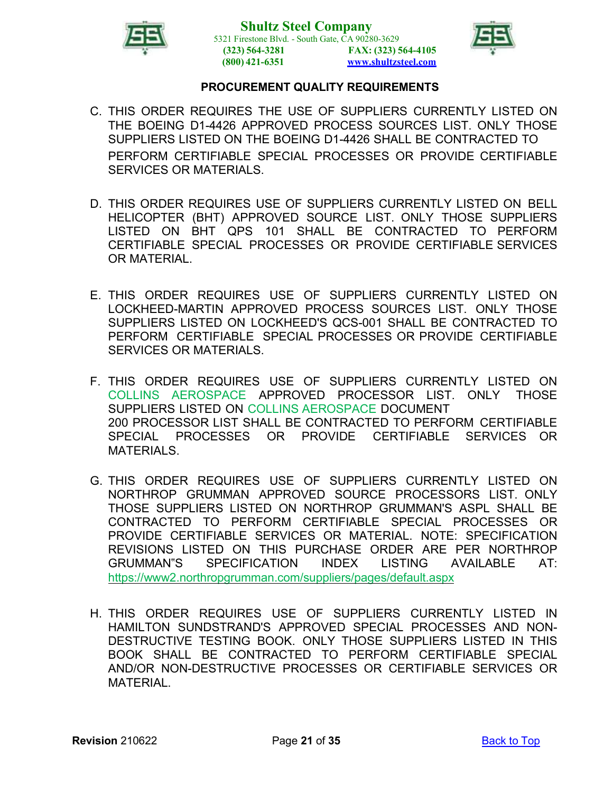



- C. THIS ORDER REQUIRES THE USE OF SUPPLIERS CURRENTLY LISTED ON THE BOEING D1-4426 APPROVED PROCESS SOURCES LIST. ONLY THOSE SUPPLIERS LISTED ON THE BOEING D1-4426 SHALL BE CONTRACTED TO PERFORM CERTIFIABLE SPECIAL PROCESSES OR PROVIDE CERTIFIABLE SERVICES OR MATERIALS.
- D. THIS ORDER REQUIRES USE OF SUPPLIERS CURRENTLY LISTED ON BELL HELICOPTER (BHT) APPROVED SOURCE LIST. ONLY THOSE SUPPLIERS LISTED ON BHT QPS 101 SHALL BE CONTRACTED TO PERFORM CERTIFIABLE SPECIAL PROCESSES OR PROVIDE CERTIFIABLE SERVICES OR MATERIAL.
- E. THIS ORDER REQUIRES USE OF SUPPLIERS CURRENTLY LISTED ON LOCKHEED-MARTIN APPROVED PROCESS SOURCES LIST. ONLY THOSE SUPPLIERS LISTED ON LOCKHEED'S QCS-001 SHALL BE CONTRACTED TO PERFORM CERTIFIABLE SPECIAL PROCESSES OR PROVIDE CERTIFIABLE SERVICES OR MATERIALS.
- F. THIS ORDER REQUIRES USE OF SUPPLIERS CURRENTLY LISTED ON COLLINS AEROSPACE APPROVED PROCESSOR LIST. ONLY THOSE SUPPLIERS LISTED ON COLLINS AEROSPACE DOCUMENT 200 PROCESSOR LIST SHALL BE CONTRACTED TO PERFORM CERTIFIABLE SPECIAL PROCESSES OR PROVIDE CERTIFIABLE SERVICES OR MATFRIALS
- G. THIS ORDER REQUIRES USE OF SUPPLIERS CURRENTLY LISTED ON NORTHROP GRUMMAN APPROVED SOURCE PROCESSORS LIST. ONLY THOSE SUPPLIERS LISTED ON NORTHROP GRUMMAN'S ASPL SHALL BE CONTRACTED TO PERFORM CERTIFIABLE SPECIAL PROCESSES OR PROVIDE CERTIFIABLE SERVICES OR MATERIAL. NOTE: SPECIFICATION REVISIONS LISTED ON THIS PURCHASE ORDER ARE PER NORTHROP GRUMMAN"S SPECIFICATION INDEX LISTING AVAILABLE AT: <https://www2.northropgrumman.com/suppliers/pages/default.aspx>
- H. THIS ORDER REQUIRES USE OF SUPPLIERS CURRENTLY LISTED IN HAMILTON SUNDSTRAND'S APPROVED SPECIAL PROCESSES AND NON-DESTRUCTIVE TESTING BOOK. ONLY THOSE SUPPLIERS LISTED IN THIS BOOK SHALL BE CONTRACTED TO PERFORM CERTIFIABLE SPECIAL AND/OR NON-DESTRUCTIVE PROCESSES OR CERTIFIABLE SERVICES OR MATERIAL.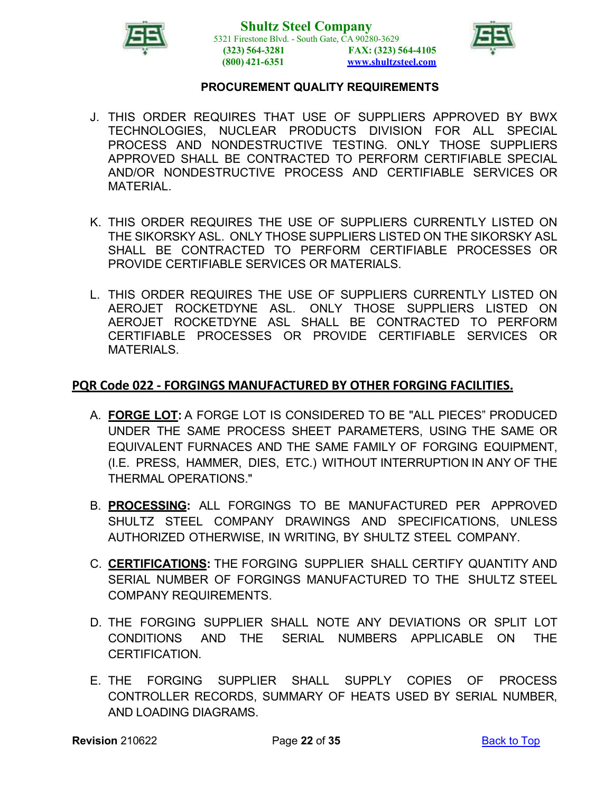



- J. THIS ORDER REQUIRES THAT USE OF SUPPLIERS APPROVED BY BWX TECHNOLOGIES, NUCLEAR PRODUCTS DIVISION FOR ALL SPECIAL PROCESS AND NONDESTRUCTIVE TESTING. ONLY THOSE SUPPLIERS APPROVED SHALL BE CONTRACTED TO PERFORM CERTIFIABLE SPECIAL AND/OR NONDESTRUCTIVE PROCESS AND CERTIFIABLE SERVICES OR MATERIAL.
- K. THIS ORDER REQUIRES THE USE OF SUPPLIERS CURRENTLY LISTED ON THE SIKORSKY ASL. ONLY THOSE SUPPLIERS LISTED ON THE SIKORSKY ASL SHALL BE CONTRACTED TO PERFORM CERTIFIABLE PROCESSES OR PROVIDE CERTIFIABLE SERVICES OR MATERIALS.
- L. THIS ORDER REQUIRES THE USE OF SUPPLIERS CURRENTLY LISTED ON AEROJET ROCKETDYNE ASL. ONLY THOSE SUPPLIERS LISTED ON AEROJET ROCKETDYNE ASL SHALL BE CONTRACTED TO PERFORM CERTIFIABLE PROCESSES OR PROVIDE CERTIFIABLE SERVICES OR MATERIALS.

### <span id="page-21-0"></span>**PQR Code 022 - FORGINGS MANUFACTURED BY OTHER FORGING FACILITIES.**

- A. **FORGE LOT:** A FORGE LOT IS CONSIDERED TO BE "ALL PIECES" PRODUCED UNDER THE SAME PROCESS SHEET PARAMETERS, USING THE SAME OR EQUIVALENT FURNACES AND THE SAME FAMILY OF FORGING EQUIPMENT, (I.E. PRESS, HAMMER, DIES, ETC.) WITHOUT INTERRUPTION IN ANY OF THE THERMAL OPERATIONS."
- B. **PROCESSING:** ALL FORGINGS TO BE MANUFACTURED PER APPROVED SHULTZ STEEL COMPANY DRAWINGS AND SPECIFICATIONS, UNLESS AUTHORIZED OTHERWISE, IN WRITING, BY SHULTZ STEEL COMPANY.
- C. **CERTIFICATIONS:** THE FORGING SUPPLIER SHALL CERTIFY QUANTITY AND SERIAL NUMBER OF FORGINGS MANUFACTURED TO THE SHULTZ STEEL COMPANY REQUIREMENTS.
- D. THE FORGING SUPPLIER SHALL NOTE ANY DEVIATIONS OR SPLIT LOT CONDITIONS AND THE SERIAL NUMBERS APPLICABLE ON THE CERTIFICATION.
- E. THE FORGING SUPPLIER SHALL SUPPLY COPIES OF PROCESS CONTROLLER RECORDS, SUMMARY OF HEATS USED BY SERIAL NUMBER, AND LOADING DIAGRAMS.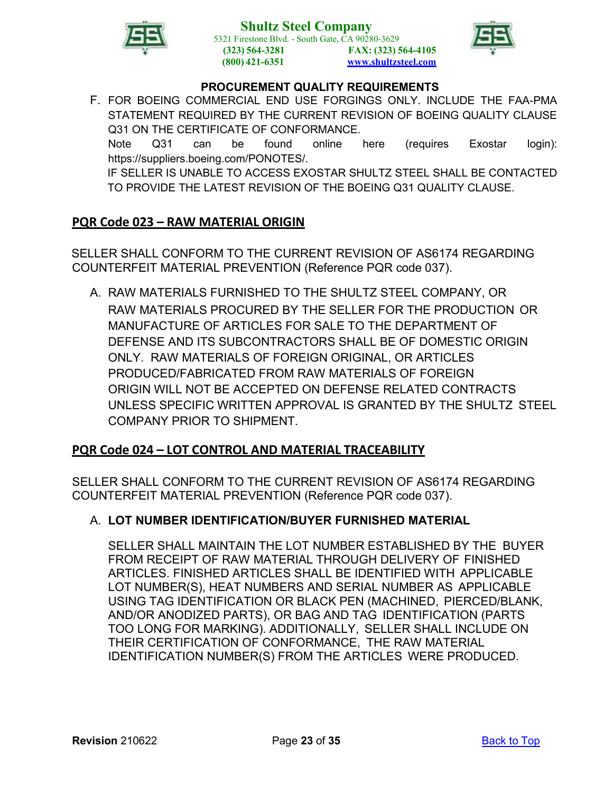

**Shultz Steel Company** 5321 Firestone Blvd. - South Gate, CA 90280-3629 **(323) 564-3281 (800) 421-6351 FAX: (323) 564-4105 [www.shultzsteel.com](http://www.shultzsteel.com/)**



#### **PROCUREMENT QUALITY REQUIREMENTS**

F. FOR BOEING COMMERCIAL END USE FORGINGS ONLY. INCLUDE THE FAA-PMA STATEMENT REQUIRED BY THE CURRENT REVISION OF BOEING QUALITY CLAUSE Q31 ON THE CERTIFICATE OF CONFORMANCE.

Note Q31 can be found online here (requires Exostar login): https://suppliers.boeing.com/PONOTES/.

IF SELLER IS UNABLE TO ACCESS EXOSTAR SHULTZ STEEL SHALL BE CONTACTED TO PROVIDE THE LATEST REVISION OF THE BOEING Q31 QUALITY CLAUSE.

### <span id="page-22-0"></span>**PQR Code 023 – RAW MATERIAL ORIGIN**

SELLER SHALL CONFORM TO THE CURRENT REVISION OF AS6174 REGARDING COUNTERFEIT MATERIAL PREVENTION (Reference PQR code 037).

A. RAW MATERIALS FURNISHED TO THE SHULTZ STEEL COMPANY, OR RAW MATERIALS PROCURED BY THE SELLER FOR THE PRODUCTION OR MANUFACTURE OF ARTICLES FOR SALE TO THE DEPARTMENT OF DEFENSE AND ITS SUBCONTRACTORS SHALL BE OF DOMESTIC ORIGIN ONLY. RAW MATERIALS OF FOREIGN ORIGINAL, OR ARTICLES PRODUCED/FABRICATED FROM RAW MATERIALS OF FOREIGN ORIGIN WILL NOT BE ACCEPTED ON DEFENSE RELATED CONTRACTS UNLESS SPECIFIC WRITTEN APPROVAL IS GRANTED BY THE SHULTZ STEEL COMPANY PRIOR TO SHIPMENT.

### <span id="page-22-1"></span>**PQR Code 024 – LOT CONTROL AND MATERIAL TRACEABILITY**

SELLER SHALL CONFORM TO THE CURRENT REVISION OF AS6174 REGARDING COUNTERFEIT MATERIAL PREVENTION (Reference PQR code 037).

#### A. **LOT NUMBER IDENTIFICATION/BUYER FURNISHED MATERIAL**

SELLER SHALL MAINTAIN THE LOT NUMBER ESTABLISHED BY THE BUYER FROM RECEIPT OF RAW MATERIAL THROUGH DELIVERY OF FINISHED ARTICLES. FINISHED ARTICLES SHALL BE IDENTIFIED WITH APPLICABLE LOT NUMBER(S), HEAT NUMBERS AND SERIAL NUMBER AS APPLICABLE USING TAG IDENTIFICATION OR BLACK PEN (MACHINED, PIERCED/BLANK, AND/OR ANODIZED PARTS), OR BAG AND TAG IDENTIFICATION (PARTS TOO LONG FOR MARKING). ADDITIONALLY, SELLER SHALL INCLUDE ON THEIR CERTIFICATION OF CONFORMANCE, THE RAW MATERIAL IDENTIFICATION NUMBER(S) FROM THE ARTICLES WERE PRODUCED.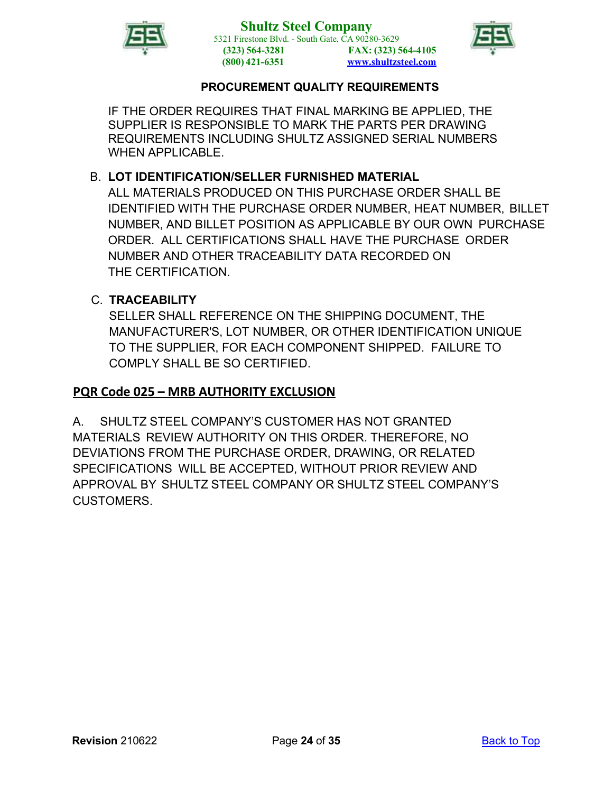



IF THE ORDER REQUIRES THAT FINAL MARKING BE APPLIED, THE SUPPLIER IS RESPONSIBLE TO MARK THE PARTS PER DRAWING REQUIREMENTS INCLUDING SHULTZ ASSIGNED SERIAL NUMBERS WHEN APPLICABLE.

# B. **LOT IDENTIFICATION/SELLER FURNISHED MATERIAL**

ALL MATERIALS PRODUCED ON THIS PURCHASE ORDER SHALL BE IDENTIFIED WITH THE PURCHASE ORDER NUMBER, HEAT NUMBER, BILLET NUMBER, AND BILLET POSITION AS APPLICABLE BY OUR OWN PURCHASE ORDER. ALL CERTIFICATIONS SHALL HAVE THE PURCHASE ORDER NUMBER AND OTHER TRACEABILITY DATA RECORDED ON THE CERTIFICATION.

# C. **TRACEABILITY**

SELLER SHALL REFERENCE ON THE SHIPPING DOCUMENT, THE MANUFACTURER'S, LOT NUMBER, OR OTHER IDENTIFICATION UNIQUE TO THE SUPPLIER, FOR EACH COMPONENT SHIPPED. FAILURE TO COMPLY SHALL BE SO CERTIFIED.

# <span id="page-23-0"></span>**PQR Code 025 – MRB AUTHORITY EXCLUSION**

<span id="page-23-1"></span>A. SHULTZ STEEL COMPANY'S CUSTOMER HAS NOT GRANTED MATERIALS REVIEW AUTHORITY ON THIS ORDER. THEREFORE, NO DEVIATIONS FROM THE PURCHASE ORDER, DRAWING, OR RELATED SPECIFICATIONS WILL BE ACCEPTED, WITHOUT PRIOR REVIEW AND APPROVAL BY SHULTZ STEEL COMPANY OR SHULTZ STEEL COMPANY'S CUSTOMERS.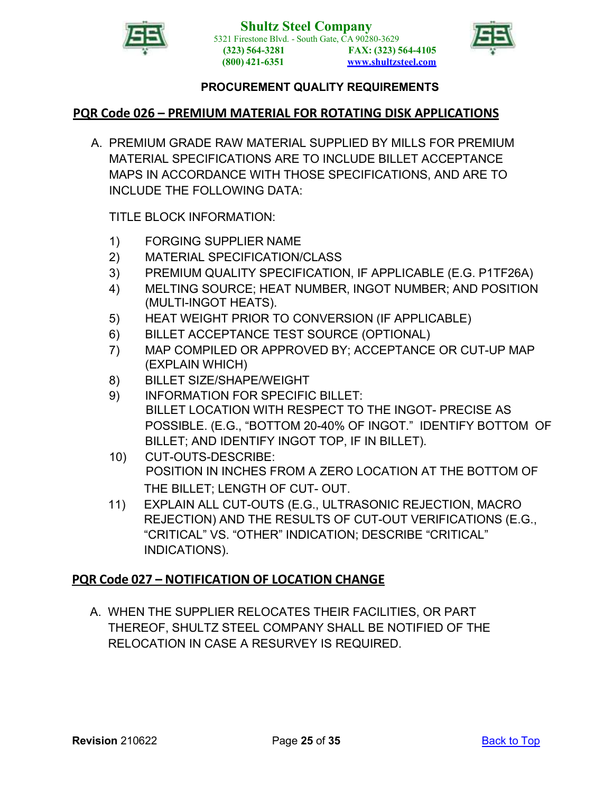



### **PQR Code 026 – PREMIUM MATERIAL FOR ROTATING DISK APPLICATIONS**

A. PREMIUM GRADE RAW MATERIAL SUPPLIED BY MILLS FOR PREMIUM MATERIAL SPECIFICATIONS ARE TO INCLUDE BILLET ACCEPTANCE MAPS IN ACCORDANCE WITH THOSE SPECIFICATIONS, AND ARE TO INCLUDE THE FOLLOWING DATA:

TITLE BLOCK INFORMATION:

- 1) FORGING SUPPLIER NAME
- 2) MATERIAL SPECIFICATION/CLASS
- 3) PREMIUM QUALITY SPECIFICATION, IF APPLICABLE (E.G. P1TF26A)
- 4) MELTING SOURCE; HEAT NUMBER, INGOT NUMBER; AND POSITION (MULTI-INGOT HEATS).
- 5) HEAT WEIGHT PRIOR TO CONVERSION (IF APPLICABLE)
- 6) BILLET ACCEPTANCE TEST SOURCE (OPTIONAL)
- 7) MAP COMPILED OR APPROVED BY; ACCEPTANCE OR CUT-UP MAP (EXPLAIN WHICH)
- 8) BILLET SIZE/SHAPE/WEIGHT
- 9) INFORMATION FOR SPECIFIC BILLET: BILLET LOCATION WITH RESPECT TO THE INGOT- PRECISE AS POSSIBLE. (E.G., "BOTTOM 20-40% OF INGOT." IDENTIFY BOTTOM OF BILLET; AND IDENTIFY INGOT TOP, IF IN BILLET).
- 10) CUT-OUTS-DESCRIBE: POSITION IN INCHES FROM A ZERO LOCATION AT THE BOTTOM OF THE BILLET; LENGTH OF CUT- OUT.
- 11) EXPLAIN ALL CUT-OUTS (E.G., ULTRASONIC REJECTION, MACRO REJECTION) AND THE RESULTS OF CUT-OUT VERIFICATIONS (E.G., "CRITICAL" VS. "OTHER" INDICATION; DESCRIBE "CRITICAL" INDICATIONS).

### <span id="page-24-0"></span>**PQR Code 027 – NOTIFICATION OF LOCATION CHANGE**

<span id="page-24-1"></span>A. WHEN THE SUPPLIER RELOCATES THEIR FACILITIES, OR PART THEREOF, SHULTZ STEEL COMPANY SHALL BE NOTIFIED OF THE RELOCATION IN CASE A RESURVEY IS REQUIRED.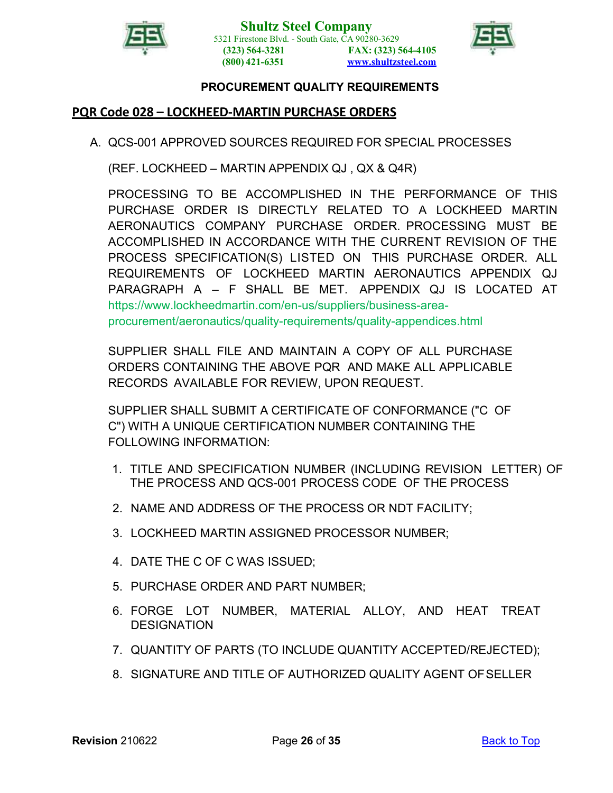



### **PQR Code 028 – LOCKHEED-MARTIN PURCHASE ORDERS**

A. QCS-001 APPROVED SOURCES REQUIRED FOR SPECIAL PROCESSES

(REF. LOCKHEED – MARTIN APPENDIX QJ , QX & Q4R)

PROCESSING TO BE ACCOMPLISHED IN THE PERFORMANCE OF THIS PURCHASE ORDER IS DIRECTLY RELATED TO A LOCKHEED MARTIN AERONAUTICS COMPANY PURCHASE ORDER. PROCESSING MUST BE ACCOMPLISHED IN ACCORDANCE WITH THE CURRENT REVISION OF THE PROCESS SPECIFICATION(S) LISTED ON THIS PURCHASE ORDER. ALL REQUIREMENTS OF LOCKHEED MARTIN AERONAUTICS APPENDIX QJ PARAGRAPH A – F SHALL BE MET. APPENDIX QJ IS LOCATED AT https://www.lockheedmartin.com/en-us/suppliers/business-areaprocurement/aeronautics/quality-requirements/quality-appendices.html

SUPPLIER SHALL FILE AND MAINTAIN A COPY OF ALL PURCHASE ORDERS CONTAINING THE ABOVE PQR AND MAKE ALL APPLICABLE RECORDS AVAILABLE FOR REVIEW, UPON REQUEST.

SUPPLIER SHALL SUBMIT A CERTIFICATE OF CONFORMANCE ("C OF C") WITH A UNIQUE CERTIFICATION NUMBER CONTAINING THE FOLLOWING INFORMATION:

- 1. TITLE AND SPECIFICATION NUMBER (INCLUDING REVISION LETTER) OF THE PROCESS AND QCS-001 PROCESS CODE OF THE PROCESS
- 2. NAME AND ADDRESS OF THE PROCESS OR NDT FACILITY;
- 3. LOCKHEED MARTIN ASSIGNED PROCESSOR NUMBER;
- 4. DATE THE C OF C WAS ISSUED;
- 5. PURCHASE ORDER AND PART NUMBER;
- 6. FORGE LOT NUMBER, MATERIAL ALLOY, AND HEAT TREAT **DESIGNATION**
- 7. QUANTITY OF PARTS (TO INCLUDE QUANTITY ACCEPTED/REJECTED);
- 8. SIGNATURE AND TITLE OF AUTHORIZED QUALITY AGENT OFSELLER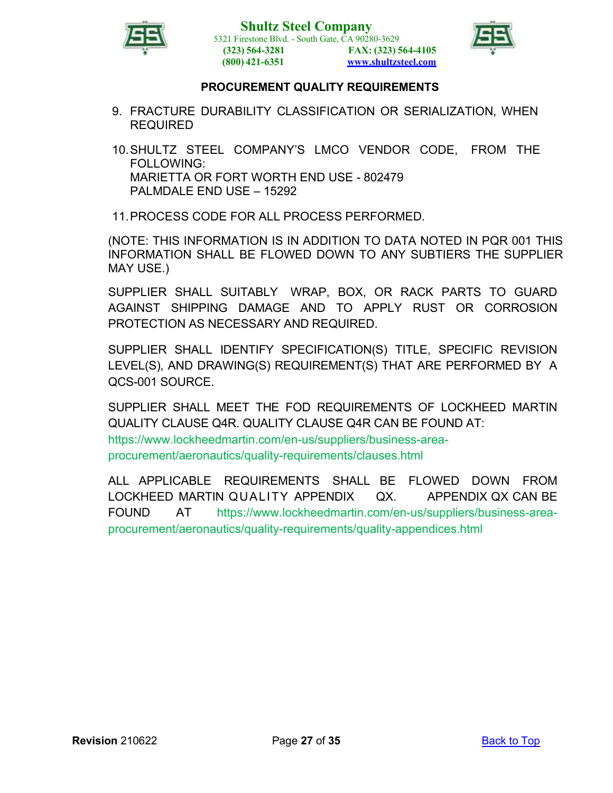



- 9. FRACTURE DURABILITY CLASSIFICATION OR SERIALIZATION, WHEN REQUIRED
- 10.SHULTZ STEEL COMPANY'S LMCO VENDOR CODE, FROM THE FOLLOWING: MARIETTA OR FORT WORTH END USE - 802479 PALMDALE END USE – 15292
- 11.PROCESS CODE FOR ALL PROCESS PERFORMED.

(NOTE: THIS INFORMATION IS IN ADDITION TO DATA NOTED IN PQR 001 THIS INFORMATION SHALL BE FLOWED DOWN TO ANY SUBTIERS THE SUPPLIER MAY USE.)

SUPPLIER SHALL SUITABLY WRAP, BOX, OR RACK PARTS TO GUARD AGAINST SHIPPING DAMAGE AND TO APPLY RUST OR CORROSION PROTECTION AS NECESSARY AND REQUIRED.

SUPPLIER SHALL IDENTIFY SPECIFICATION(S) TITLE, SPECIFIC REVISION LEVEL(S), AND DRAWING(S) REQUIREMENT(S) THAT ARE PERFORMED BY A QCS-001 SOURCE.

SUPPLIER SHALL MEET THE FOD REQUIREMENTS OF LOCKHEED MARTIN QUALITY CLAUSE Q4R. QUALITY CLAUSE Q4R CAN BE FOUND AT: https://www.lockheedmartin.com/en-us/suppliers/business-areaprocurement/aeronautics/quality-requirements/clauses.html

ALL APPLICABLE REQUIREMENTS SHALL BE FLOWED DOWN FROM LOCKHEED MARTIN QUALITY APPENDIX QX. APPENDIX QX CAN BE FOUND AT https://www.lockheedmartin.com/en-us/suppliers/business-areaprocurement/aeronautics/quality-requirements/quality-appendices.html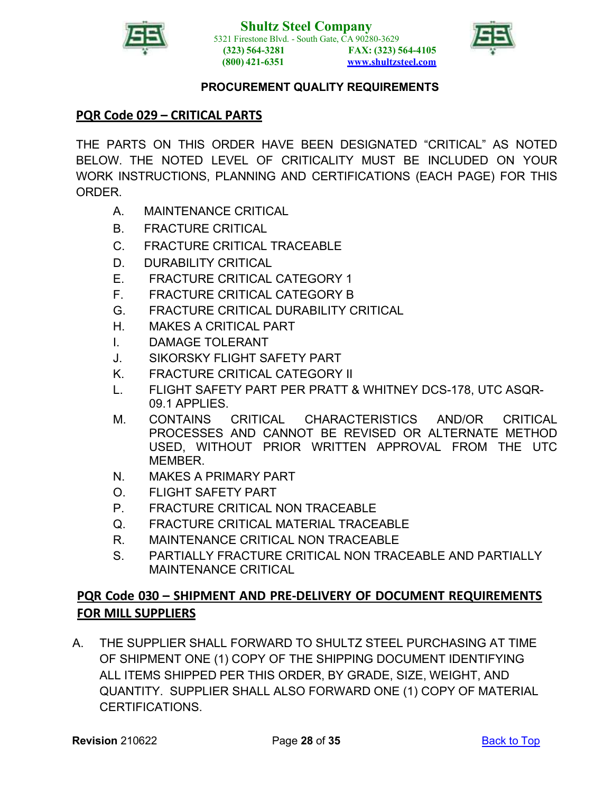



# <span id="page-27-0"></span>**PQR Code 029 – CRITICAL PARTS**

THE PARTS ON THIS ORDER HAVE BEEN DESIGNATED "CRITICAL" AS NOTED BELOW. THE NOTED LEVEL OF CRITICALITY MUST BE INCLUDED ON YOUR WORK INSTRUCTIONS, PLANNING AND CERTIFICATIONS (EACH PAGE) FOR THIS ORDER.

- A. MAINTENANCE CRITICAL
- B. FRACTURE CRITICAL
- C. FRACTURE CRITICAL TRACEABLE
- D. DURABILITY CRITICAL
- E. FRACTURE CRITICAL CATEGORY 1
- F. FRACTURE CRITICAL CATEGORY B
- G. FRACTURE CRITICAL DURABILITY CRITICAL
- H. MAKES A CRITICAL PART
- I. DAMAGE TOLERANT
- J. SIKORSKY FLIGHT SAFETY PART
- K. FRACTURE CRITICAL CATEGORY II
- L. FLIGHT SAFETY PART PER PRATT & WHITNEY DCS-178, UTC ASQR-09.1 APPLIES.
- M. CONTAINS CRITICAL CHARACTERISTICS AND/OR CRITICAL PROCESSES AND CANNOT BE REVISED OR ALTERNATE METHOD USED, WITHOUT PRIOR WRITTEN APPROVAL FROM THE UTC **MEMBER**
- N. MAKES A PRIMARY PART
- O. FLIGHT SAFETY PART
- P. FRACTURE CRITICAL NON TRACEABLE
- Q. FRACTURE CRITICAL MATERIAL TRACEABLE
- R. MAINTENANCE CRITICAL NON TRACEABLE
- S. PARTIALLY FRACTURE CRITICAL NON TRACEABLE AND PARTIALLY MAINTENANCE CRITICAL

# <span id="page-27-1"></span>**PQR Code 030 – SHIPMENT AND PRE-DELIVERY OF DOCUMENT REQUIREMENTS FOR MILL SUPPLIERS**

A. THE SUPPLIER SHALL FORWARD TO SHULTZ STEEL PURCHASING AT TIME OF SHIPMENT ONE (1) COPY OF THE SHIPPING DOCUMENT IDENTIFYING ALL ITEMS SHIPPED PER THIS ORDER, BY GRADE, SIZE, WEIGHT, AND QUANTITY. SUPPLIER SHALL ALSO FORWARD ONE (1) COPY OF MATERIAL CERTIFICATIONS.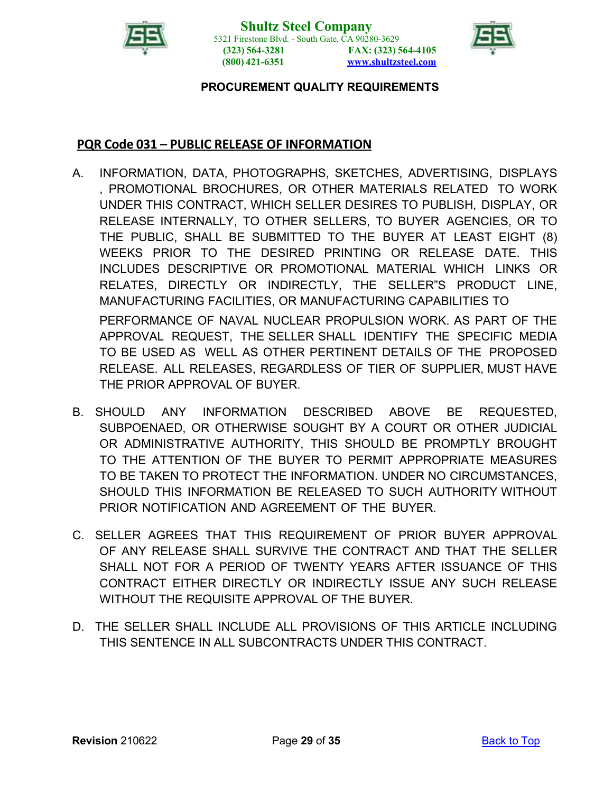



### <span id="page-28-0"></span>**PQR Code 031 – PUBLIC RELEASE OF INFORMATION**

- A. INFORMATION, DATA, PHOTOGRAPHS, SKETCHES, ADVERTISING, DISPLAYS , PROMOTIONAL BROCHURES, OR OTHER MATERIALS RELATED TO WORK UNDER THIS CONTRACT, WHICH SELLER DESIRES TO PUBLISH, DISPLAY, OR RELEASE INTERNALLY, TO OTHER SELLERS, TO BUYER AGENCIES, OR TO THE PUBLIC, SHALL BE SUBMITTED TO THE BUYER AT LEAST EIGHT (8) WEEKS PRIOR TO THE DESIRED PRINTING OR RELEASE DATE. THIS INCLUDES DESCRIPTIVE OR PROMOTIONAL MATERIAL WHICH LINKS OR RELATES, DIRECTLY OR INDIRECTLY, THE SELLER"S PRODUCT LINE, MANUFACTURING FACILITIES, OR MANUFACTURING CAPABILITIES TO PERFORMANCE OF NAVAL NUCLEAR PROPULSION WORK. AS PART OF THE APPROVAL REQUEST, THE SELLER SHALL IDENTIFY THE SPECIFIC MEDIA TO BE USED AS WELL AS OTHER PERTINENT DETAILS OF THE PROPOSED RELEASE. ALL RELEASES, REGARDLESS OF TIER OF SUPPLIER, MUST HAVE THE PRIOR APPROVAL OF BUYER.
- B. SHOULD ANY INFORMATION DESCRIBED ABOVE BE REQUESTED, SUBPOENAED, OR OTHERWISE SOUGHT BY A COURT OR OTHER JUDICIAL OR ADMINISTRATIVE AUTHORITY, THIS SHOULD BE PROMPTLY BROUGHT TO THE ATTENTION OF THE BUYER TO PERMIT APPROPRIATE MEASURES TO BE TAKEN TO PROTECT THE INFORMATION. UNDER NO CIRCUMSTANCES, SHOULD THIS INFORMATION BE RELEASED TO SUCH AUTHORITY WITHOUT PRIOR NOTIFICATION AND AGREEMENT OF THE BUYER.
- C. SELLER AGREES THAT THIS REQUIREMENT OF PRIOR BUYER APPROVAL OF ANY RELEASE SHALL SURVIVE THE CONTRACT AND THAT THE SELLER SHALL NOT FOR A PERIOD OF TWENTY YEARS AFTER ISSUANCE OF THIS CONTRACT EITHER DIRECTLY OR INDIRECTLY ISSUE ANY SUCH RELEASE WITHOUT THE REQUISITE APPROVAL OF THE BUYER.
- D. THE SELLER SHALL INCLUDE ALL PROVISIONS OF THIS ARTICLE INCLUDING THIS SENTENCE IN ALL SUBCONTRACTS UNDER THIS CONTRACT.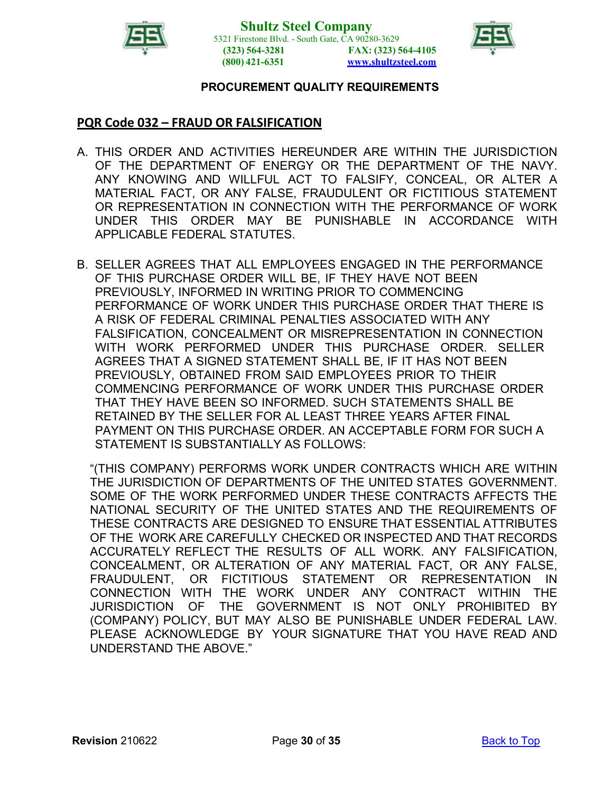



# <span id="page-29-0"></span>**PQR Code 032 – FRAUD OR FALSIFICATION**

- A. THIS ORDER AND ACTIVITIES HEREUNDER ARE WITHIN THE JURISDICTION OF THE DEPARTMENT OF ENERGY OR THE DEPARTMENT OF THE NAVY. ANY KNOWING AND WILLFUL ACT TO FALSIFY, CONCEAL, OR ALTER A MATERIAL FACT, OR ANY FALSE, FRAUDULENT OR FICTITIOUS STATEMENT OR REPRESENTATION IN CONNECTION WITH THE PERFORMANCE OF WORK UNDER THIS ORDER MAY BE PUNISHABLE IN ACCORDANCE WITH APPLICABLE FEDERAL STATUTES.
- B. SELLER AGREES THAT ALL EMPLOYEES ENGAGED IN THE PERFORMANCE OF THIS PURCHASE ORDER WILL BE, IF THEY HAVE NOT BEEN PREVIOUSLY, INFORMED IN WRITING PRIOR TO COMMENCING PERFORMANCE OF WORK UNDER THIS PURCHASE ORDER THAT THERE IS A RISK OF FEDERAL CRIMINAL PENALTIES ASSOCIATED WITH ANY FALSIFICATION, CONCEALMENT OR MISREPRESENTATION IN CONNECTION WITH WORK PERFORMED UNDER THIS PURCHASE ORDER. SELLER AGREES THAT A SIGNED STATEMENT SHALL BE, IF IT HAS NOT BEEN PREVIOUSLY, OBTAINED FROM SAID EMPLOYEES PRIOR TO THEIR COMMENCING PERFORMANCE OF WORK UNDER THIS PURCHASE ORDER THAT THEY HAVE BEEN SO INFORMED. SUCH STATEMENTS SHALL BE RETAINED BY THE SELLER FOR AL LEAST THREE YEARS AFTER FINAL PAYMENT ON THIS PURCHASE ORDER. AN ACCEPTABLE FORM FOR SUCH A STATEMENT IS SUBSTANTIALLY AS FOLLOWS:

"(THIS COMPANY) PERFORMS WORK UNDER CONTRACTS WHICH ARE WITHIN THE JURISDICTION OF DEPARTMENTS OF THE UNITED STATES GOVERNMENT. SOME OF THE WORK PERFORMED UNDER THESE CONTRACTS AFFECTS THE NATIONAL SECURITY OF THE UNITED STATES AND THE REQUIREMENTS OF THESE CONTRACTS ARE DESIGNED TO ENSURE THAT ESSENTIAL ATTRIBUTES OF THE WORK ARE CAREFULLY CHECKED OR INSPECTED AND THAT RECORDS ACCURATELY REFLECT THE RESULTS OF ALL WORK. ANY FALSIFICATION, CONCEALMENT, OR ALTERATION OF ANY MATERIAL FACT, OR ANY FALSE, FRAUDULENT, OR FICTITIOUS STATEMENT OR REPRESENTATION IN CONNECTION WITH THE WORK UNDER ANY CONTRACT WITHIN THE JURISDICTION OF THE GOVERNMENT IS NOT ONLY PROHIBITED BY (COMPANY) POLICY, BUT MAY ALSO BE PUNISHABLE UNDER FEDERAL LAW. PLEASE ACKNOWLEDGE BY YOUR SIGNATURE THAT YOU HAVE READ AND UNDERSTAND THE ABOVE."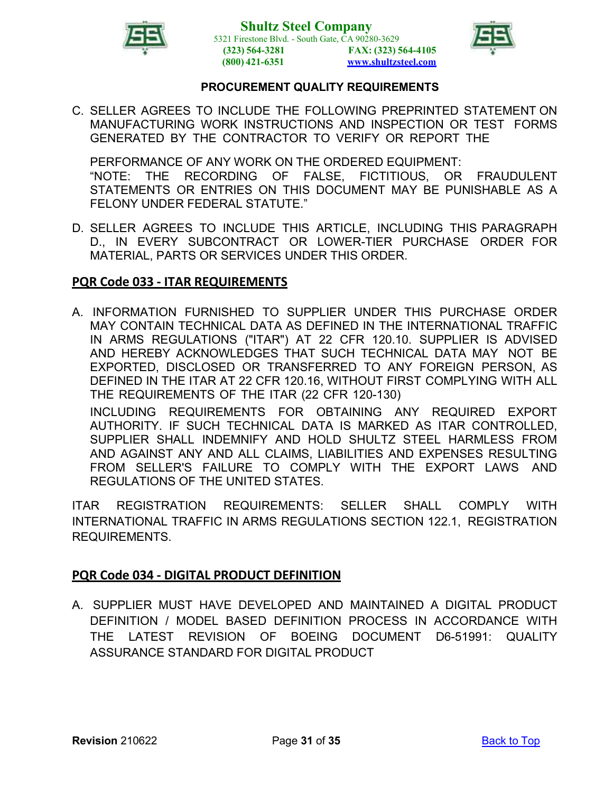



C. SELLER AGREES TO INCLUDE THE FOLLOWING PREPRINTED STATEMENT ON MANUFACTURING WORK INSTRUCTIONS AND INSPECTION OR TEST FORMS GENERATED BY THE CONTRACTOR TO VERIFY OR REPORT THE

PERFORMANCE OF ANY WORK ON THE ORDERED EQUIPMENT: "NOTE: THE RECORDING OF FALSE, FICTITIOUS, OR FRAUDULENT STATEMENTS OR ENTRIES ON THIS DOCUMENT MAY BE PUNISHABLE AS A FELONY UNDER FEDERAL STATUTE."

D. SELLER AGREES TO INCLUDE THIS ARTICLE, INCLUDING THIS PARAGRAPH D., IN EVERY SUBCONTRACT OR LOWER-TIER PURCHASE ORDER FOR MATERIAL, PARTS OR SERVICES UNDER THIS ORDER.

#### <span id="page-30-0"></span>**PQR Code 033 - ITAR REQUIREMENTS**

A. INFORMATION FURNISHED TO SUPPLIER UNDER THIS PURCHASE ORDER MAY CONTAIN TECHNICAL DATA AS DEFINED IN THE INTERNATIONAL TRAFFIC IN ARMS REGULATIONS ("ITAR") AT 22 CFR 120.10. SUPPLIER IS ADVISED AND HEREBY ACKNOWLEDGES THAT SUCH TECHNICAL DATA MAY NOT BE EXPORTED, DISCLOSED OR TRANSFERRED TO ANY FOREIGN PERSON, AS DEFINED IN THE ITAR AT 22 CFR 120.16, WITHOUT FIRST COMPLYING WITH ALL THE REQUIREMENTS OF THE ITAR (22 CFR 120-130)

INCLUDING REQUIREMENTS FOR OBTAINING ANY REQUIRED EXPORT AUTHORITY. IF SUCH TECHNICAL DATA IS MARKED AS ITAR CONTROLLED, SUPPLIER SHALL INDEMNIFY AND HOLD SHULTZ STEEL HARMLESS FROM AND AGAINST ANY AND ALL CLAIMS, LIABILITIES AND EXPENSES RESULTING FROM SELLER'S FAILURE TO COMPLY WITH THE EXPORT LAWS AND REGULATIONS OF THE UNITED STATES.

ITAR REGISTRATION REQUIREMENTS: SELLER SHALL COMPLY WITH INTERNATIONAL TRAFFIC IN ARMS REGULATIONS SECTION 122.1, REGISTRATION REQUIREMENTS.

### <span id="page-30-1"></span>**PQR Code 034 - DIGITAL PRODUCT DEFINITION**

A. SUPPLIER MUST HAVE DEVELOPED AND MAINTAINED A DIGITAL PRODUCT DEFINITION / MODEL BASED DEFINITION PROCESS IN ACCORDANCE WITH THE LATEST REVISION OF BOEING DOCUMENT D6-51991: QUALITY ASSURANCE STANDARD FOR DIGITAL PRODUCT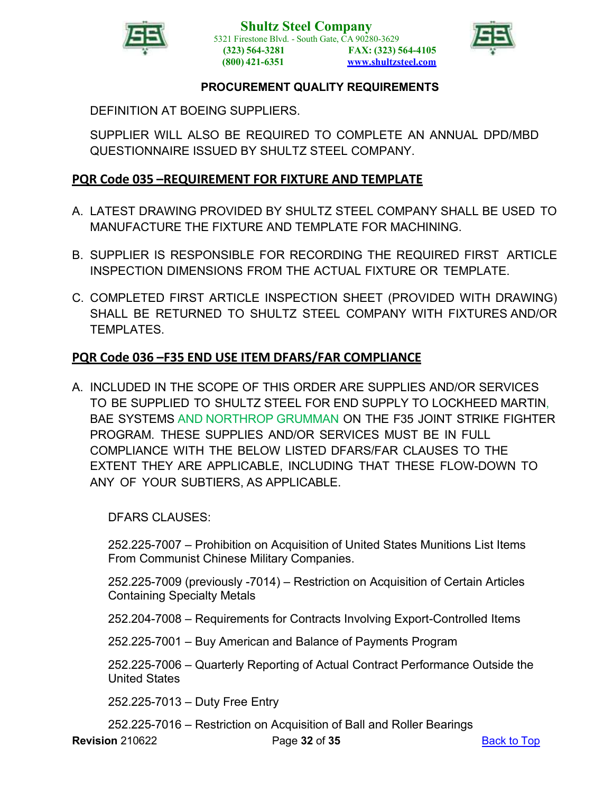



DEFINITION AT BOEING SUPPLIERS.

SUPPLIER WILL ALSO BE REQUIRED TO COMPLETE AN ANNUAL DPD/MBD QUESTIONNAIRE ISSUED BY SHULTZ STEEL COMPANY.

# <span id="page-31-0"></span>**PQR Code 035 –REQUIREMENT FOR FIXTURE AND TEMPLATE**

- A. LATEST DRAWING PROVIDED BY SHULTZ STEEL COMPANY SHALL BE USED TO MANUFACTURE THE FIXTURE AND TEMPLATE FOR MACHINING.
- B. SUPPLIER IS RESPONSIBLE FOR RECORDING THE REQUIRED FIRST ARTICLE INSPECTION DIMENSIONS FROM THE ACTUAL FIXTURE OR TEMPLATE.
- C. COMPLETED FIRST ARTICLE INSPECTION SHEET (PROVIDED WITH DRAWING) SHALL BE RETURNED TO SHULTZ STEEL COMPANY WITH FIXTURES AND/OR TEMPLATES.

# <span id="page-31-1"></span>**PQR Code 036 –F35 END USE ITEM DFARS/FAR COMPLIANCE**

A. INCLUDED IN THE SCOPE OF THIS ORDER ARE SUPPLIES AND/OR SERVICES TO BE SUPPLIED TO SHULTZ STEEL FOR END SUPPLY TO LOCKHEED MARTIN, BAE SYSTEMS AND NORTHROP GRUMMAN ON THE F35 JOINT STRIKE FIGHTER PROGRAM. THESE SUPPLIES AND/OR SERVICES MUST BE IN FULL COMPLIANCE WITH THE BELOW LISTED DFARS/FAR CLAUSES TO THE EXTENT THEY ARE APPLICABLE, INCLUDING THAT THESE FLOW-DOWN TO ANY OF YOUR SUBTIERS, AS APPLICABLE.

DFARS CLAUSES:

252.225-7007 – Prohibition on Acquisition of United States Munitions List Items From Communist Chinese Military Companies.

252.225-7009 (previously -7014) – Restriction on Acquisition of Certain Articles Containing Specialty Metals

252.204-7008 – Requirements for Contracts Involving Export-Controlled Items

252.225-7001 – Buy American and Balance of Payments Program

252.225-7006 – Quarterly Reporting of Actual Contract Performance Outside the United States

252.225-7013 – Duty Free Entry

252.225-7016 – Restriction on Acquisition of Ball and Roller Bearings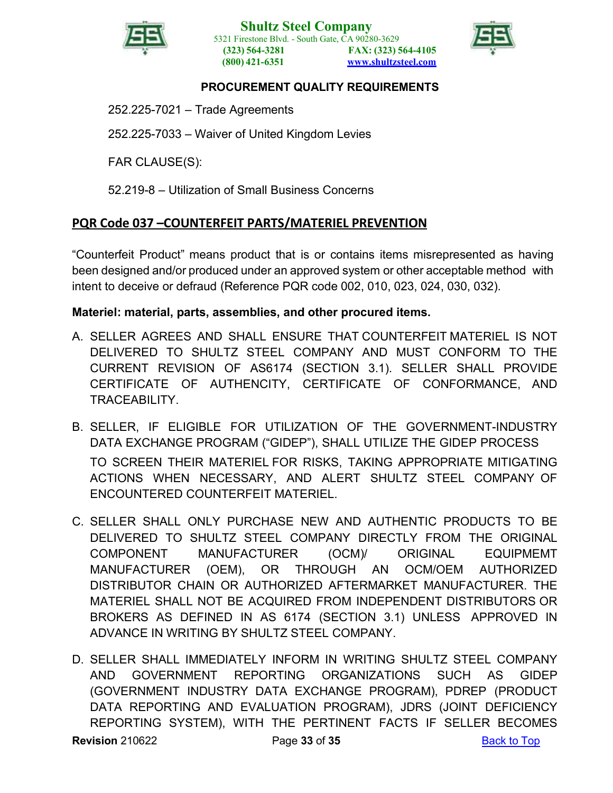



252.225-7021 – Trade Agreements

252.225-7033 – Waiver of United Kingdom Levies

FAR CLAUSE(S):

52.219-8 – Utilization of Small Business Concerns

# <span id="page-32-0"></span>**PQR Code 037 –COUNTERFEIT PARTS/MATERIEL PREVENTION**

"Counterfeit Product" means product that is or contains items misrepresented as having been designed and/or produced under an approved system or other acceptable method with intent to deceive or defraud (Reference PQR code 002, 010, 023, 024, 030, 032).

### <span id="page-32-1"></span>**Materiel: material, parts, assemblies, and other procured items.**

- A. SELLER AGREES AND SHALL ENSURE THAT COUNTERFEIT MATERIEL IS NOT DELIVERED TO SHULTZ STEEL COMPANY AND MUST CONFORM TO THE CURRENT REVISION OF AS6174 (SECTION 3.1). SELLER SHALL PROVIDE CERTIFICATE OF AUTHENCITY, CERTIFICATE OF CONFORMANCE, AND TRACEABILITY.
- B. SELLER, IF ELIGIBLE FOR UTILIZATION OF THE GOVERNMENT-INDUSTRY DATA EXCHANGE PROGRAM ("GIDEP"), SHALL UTILIZE THE GIDEP PROCESS TO SCREEN THEIR MATERIEL FOR RISKS, TAKING APPROPRIATE MITIGATING ACTIONS WHEN NECESSARY, AND ALERT SHULTZ STEEL COMPANY OF ENCOUNTERED COUNTERFEIT MATERIEL.
- C. SELLER SHALL ONLY PURCHASE NEW AND AUTHENTIC PRODUCTS TO BE DELIVERED TO SHULTZ STEEL COMPANY DIRECTLY FROM THE ORIGINAL COMPONENT MANUFACTURER (OCM)/ ORIGINAL EQUIPMEMT MANUFACTURER (OEM), OR THROUGH AN OCM/OEM AUTHORIZED DISTRIBUTOR CHAIN OR AUTHORIZED AFTERMARKET MANUFACTURER. THE MATERIEL SHALL NOT BE ACQUIRED FROM INDEPENDENT DISTRIBUTORS OR BROKERS AS DEFINED IN AS 6174 (SECTION 3.1) UNLESS APPROVED IN ADVANCE IN WRITING BY SHULTZ STEEL COMPANY.
- **Revision** 210622 **Page 33 of 35** [Back](#page-0-0) to Top D. SELLER SHALL IMMEDIATELY INFORM IN WRITING SHULTZ STEEL COMPANY AND GOVERNMENT REPORTING ORGANIZATIONS SUCH AS GIDEP (GOVERNMENT INDUSTRY DATA EXCHANGE PROGRAM), PDREP (PRODUCT DATA REPORTING AND EVALUATION PROGRAM), JDRS (JOINT DEFICIENCY REPORTING SYSTEM), WITH THE PERTINENT FACTS IF SELLER BECOMES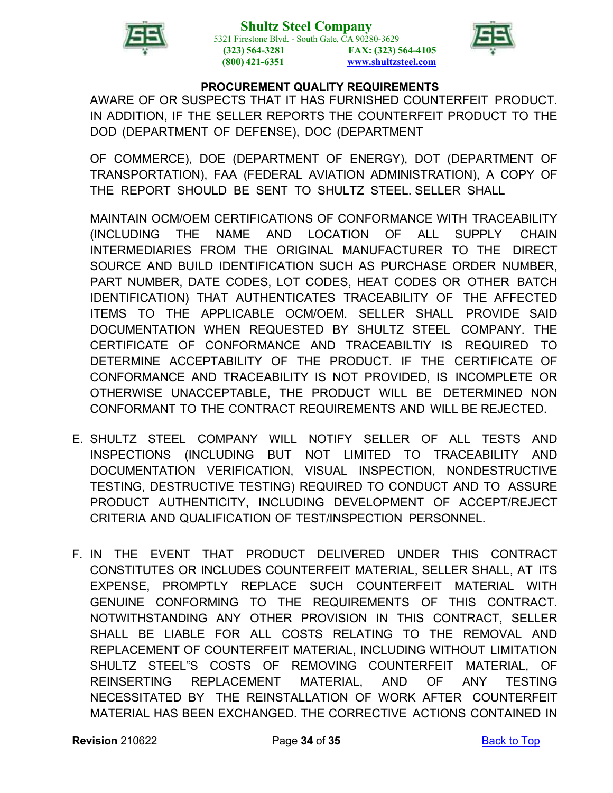



AWARE OF OR SUSPECTS THAT IT HAS FURNISHED COUNTERFEIT PRODUCT. IN ADDITION, IF THE SELLER REPORTS THE COUNTERFEIT PRODUCT TO THE DOD (DEPARTMENT OF DEFENSE), DOC (DEPARTMENT

OF COMMERCE), DOE (DEPARTMENT OF ENERGY), DOT (DEPARTMENT OF TRANSPORTATION), FAA (FEDERAL AVIATION ADMINISTRATION), A COPY OF THE REPORT SHOULD BE SENT TO SHULTZ STEEL. SELLER SHALL

MAINTAIN OCM/OEM CERTIFICATIONS OF CONFORMANCE WITH TRACEABILITY (INCLUDING THE NAME AND LOCATION OF ALL SUPPLY CHAIN INTERMEDIARIES FROM THE ORIGINAL MANUFACTURER TO THE DIRECT SOURCE AND BUILD IDENTIFICATION SUCH AS PURCHASE ORDER NUMBER, PART NUMBER, DATE CODES, LOT CODES, HEAT CODES OR OTHER BATCH IDENTIFICATION) THAT AUTHENTICATES TRACEABILITY OF THE AFFECTED ITEMS TO THE APPLICABLE OCM/OEM. SELLER SHALL PROVIDE SAID DOCUMENTATION WHEN REQUESTED BY SHULTZ STEEL COMPANY. THE CERTIFICATE OF CONFORMANCE AND TRACEABILTIY IS REQUIRED TO DETERMINE ACCEPTABILITY OF THE PRODUCT. IF THE CERTIFICATE OF CONFORMANCE AND TRACEABILITY IS NOT PROVIDED, IS INCOMPLETE OR OTHERWISE UNACCEPTABLE, THE PRODUCT WILL BE DETERMINED NON CONFORMANT TO THE CONTRACT REQUIREMENTS AND WILL BE REJECTED.

- E. SHULTZ STEEL COMPANY WILL NOTIFY SELLER OF ALL TESTS AND INSPECTIONS (INCLUDING BUT NOT LIMITED TO TRACEABILITY AND DOCUMENTATION VERIFICATION, VISUAL INSPECTION, NONDESTRUCTIVE TESTING, DESTRUCTIVE TESTING) REQUIRED TO CONDUCT AND TO ASSURE PRODUCT AUTHENTICITY, INCLUDING DEVELOPMENT OF ACCEPT/REJECT CRITERIA AND QUALIFICATION OF TEST/INSPECTION PERSONNEL.
- F. IN THE EVENT THAT PRODUCT DELIVERED UNDER THIS CONTRACT CONSTITUTES OR INCLUDES COUNTERFEIT MATERIAL, SELLER SHALL, AT ITS EXPENSE, PROMPTLY REPLACE SUCH COUNTERFEIT MATERIAL WITH GENUINE CONFORMING TO THE REQUIREMENTS OF THIS CONTRACT. NOTWITHSTANDING ANY OTHER PROVISION IN THIS CONTRACT, SELLER SHALL BE LIABLE FOR ALL COSTS RELATING TO THE REMOVAL AND REPLACEMENT OF COUNTERFEIT MATERIAL, INCLUDING WITHOUT LIMITATION SHULTZ STEEL"S COSTS OF REMOVING COUNTERFEIT MATERIAL, OF REINSERTING REPLACEMENT MATERIAL, AND OF ANY TESTING NECESSITATED BY THE REINSTALLATION OF WORK AFTER COUNTERFEIT MATERIAL HAS BEEN EXCHANGED. THE CORRECTIVE ACTIONS CONTAINED IN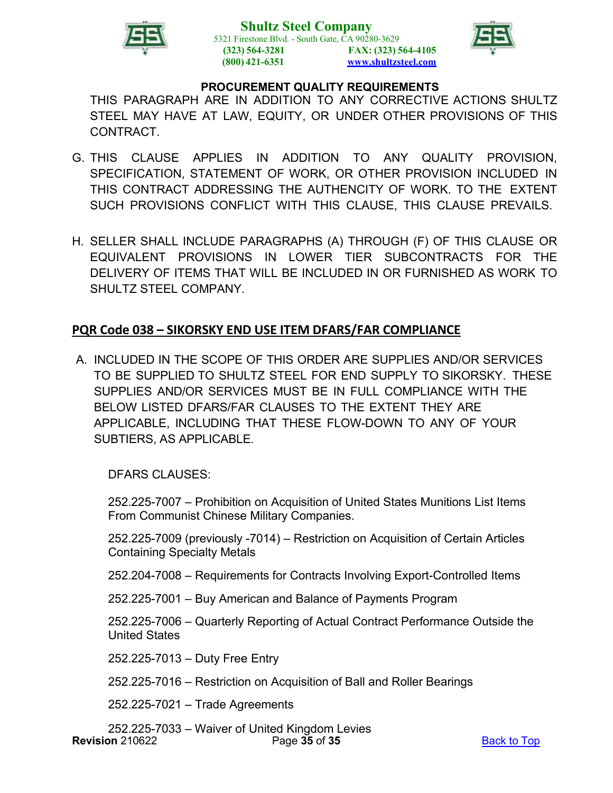



THIS PARAGRAPH ARE IN ADDITION TO ANY CORRECTIVE ACTIONS SHULTZ STEEL MAY HAVE AT LAW, EQUITY, OR UNDER OTHER PROVISIONS OF THIS **CONTRACT** 

- G. THIS CLAUSE APPLIES IN ADDITION TO ANY QUALITY PROVISION, SPECIFICATION, STATEMENT OF WORK, OR OTHER PROVISION INCLUDED IN THIS CONTRACT ADDRESSING THE AUTHENCITY OF WORK. TO THE EXTENT SUCH PROVISIONS CONFLICT WITH THIS CLAUSE, THIS CLAUSE PREVAILS.
- H. SELLER SHALL INCLUDE PARAGRAPHS (A) THROUGH (F) OF THIS CLAUSE OR EQUIVALENT PROVISIONS IN LOWER TIER SUBCONTRACTS FOR THE DELIVERY OF ITEMS THAT WILL BE INCLUDED IN OR FURNISHED AS WORK TO SHULTZ STEEL COMPANY.

### **PQR Code 038 – SIKORSKY END USE ITEM DFARS/FAR COMPLIANCE**

A. INCLUDED IN THE SCOPE OF THIS ORDER ARE SUPPLIES AND/OR SERVICES TO BE SUPPLIED TO SHULTZ STEEL FOR END SUPPLY TO SIKORSKY. THESE SUPPLIES AND/OR SERVICES MUST BE IN FULL COMPLIANCE WITH THE BELOW LISTED DFARS/FAR CLAUSES TO THE EXTENT THEY ARE APPLICABLE, INCLUDING THAT THESE FLOW-DOWN TO ANY OF YOUR SUBTIERS, AS APPLICABLE.

DFARS CLAUSES:

252.225-7007 – Prohibition on Acquisition of United States Munitions List Items From Communist Chinese Military Companies.

252.225-7009 (previously -7014) – Restriction on Acquisition of Certain Articles Containing Specialty Metals

252.204-7008 – Requirements for Contracts Involving Export-Controlled Items

252.225-7001 – Buy American and Balance of Payments Program

252.225-7006 – Quarterly Reporting of Actual Contract Performance Outside the United States

252.225-7013 – Duty Free Entry

252.225-7016 – Restriction on Acquisition of Ball and Roller Bearings

252.225-7021 – Trade Agreements

**Revision** 210622 **Page 35 of 35 Page 35 Page 35 Page 35 Page 35 Page 35 Page 10 Page 10 [Back](#page-0-0) to Top** 252.225-7033 – Waiver of United Kingdom Levies